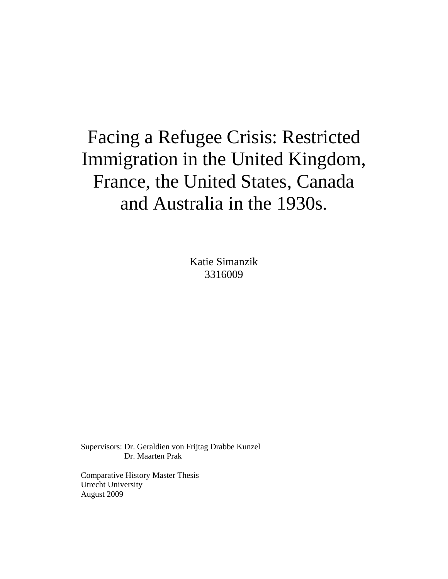# Facing a Refugee Crisis: Restricted Immigration in the United Kingdom, France, the United States, Canada and Australia in the 1930s.

Katie Simanzik 3316009

Supervisors: Dr. Geraldien von Frijtag Drabbe Kunzel Dr. Maarten Prak

Comparative History Master Thesis Utrecht University August 2009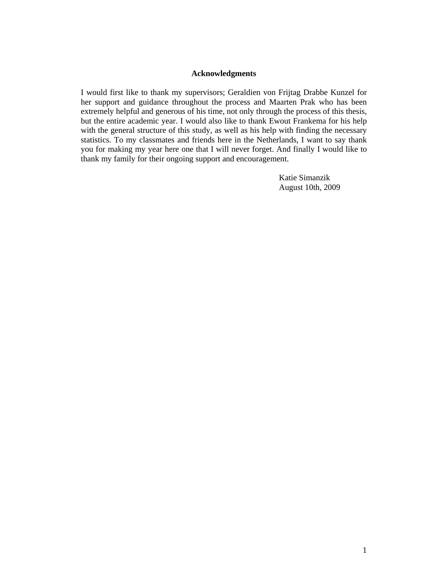#### **Acknowledgments**

I would first like to thank my supervisors; Geraldien von Frijtag Drabbe Kunzel for her support and guidance throughout the process and Maarten Prak who has been extremely helpful and generous of his time, not only through the process of this thesis, but the entire academic year. I would also like to thank Ewout Frankema for his help with the general structure of this study, as well as his help with finding the necessary statistics. To my classmates and friends here in the Netherlands, I want to say thank you for making my year here one that I will never forget. And finally I would like to thank my family for their ongoing support and encouragement.

> Katie Simanzik August 10th, 2009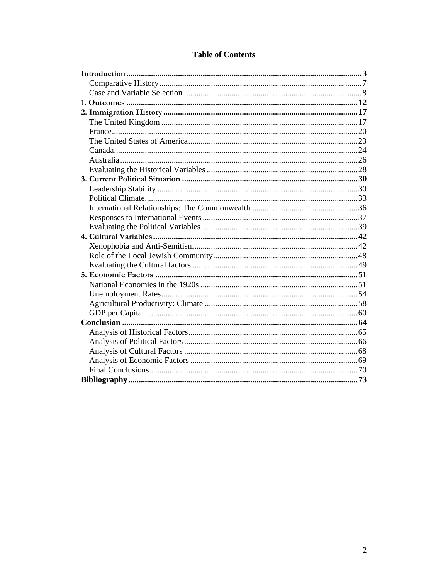| <b>Table of Contents</b> |  |
|--------------------------|--|
|--------------------------|--|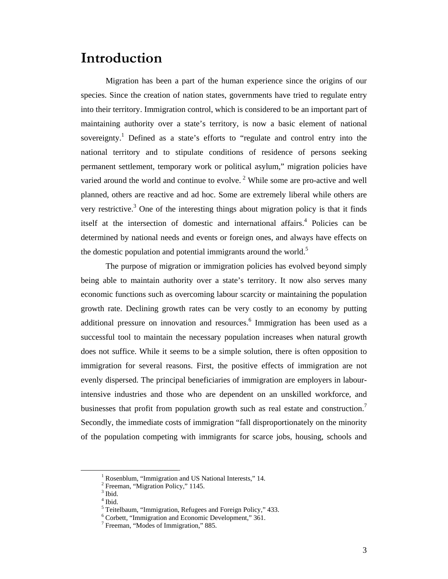# **Introduction**

Migration has been a part of the human experience since the origins of our species. Since the creation of nation states, governments have tried to regulate entry into their territory. Immigration control, which is considered to be an important part of maintaining authority over a state's territory, is now a basic element of national sovereignty.<sup>1</sup> Defined as a state's efforts to "regulate and control entry into the national territory and to stipulate conditions of residence of persons seeking permanent settlement, temporary work or political asylum," migration policies have varied around the world and continue to evolve.<sup>2</sup> While some are pro-active and well planned, others are reactive and ad hoc. Some are extremely liberal while others are very restrictive.<sup>3</sup> One of the interesting things about migration policy is that it finds itself at the intersection of domestic and international affairs.<sup>4</sup> Policies can be determined by national needs and events or foreign ones, and always have effects on the domestic population and potential immigrants around the world.<sup>5</sup>

The purpose of migration or immigration policies has evolved beyond simply being able to maintain authority over a state's territory. It now also serves many economic functions such as overcoming labour scarcity or maintaining the population growth rate. Declining growth rates can be very costly to an economy by putting additional pressure on innovation and resources. $<sup>6</sup>$  Immigration has been used as a</sup> successful tool to maintain the necessary population increases when natural growth does not suffice. While it seems to be a simple solution, there is often opposition to immigration for several reasons. First, the positive effects of immigration are not evenly dispersed. The principal beneficiaries of immigration are employers in labourintensive industries and those who are dependent on an unskilled workforce, and businesses that profit from population growth such as real estate and construction.<sup>7</sup> Secondly, the immediate costs of immigration "fall disproportionately on the minority of the population competing with immigrants for scarce jobs, housing, schools and

 $\frac{1}{1}$ <sup>1</sup> Rosenblum, "Immigration and US National Interests," 14.

<sup>&</sup>lt;sup>2</sup> Freeman, "Migration Policy," 1145.

 $3$  Ibid.

<sup>4</sup> Ibid.

<sup>&</sup>lt;sup>5</sup> Teitelbaum, "Immigration, Refugees and Foreign Policy," 433.

<sup>6</sup> Corbett, "Immigration and Economic Development," 361.

<sup>7</sup> Freeman, "Modes of Immigration," 885.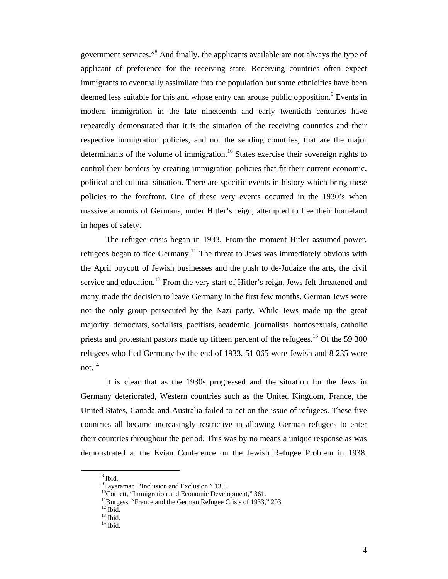government services."<sup>8</sup> And finally, the applicants available are not always the type of applicant of preference for the receiving state. Receiving countries often expect immigrants to eventually assimilate into the population but some ethnicities have been deemed less suitable for this and whose entry can arouse public opposition.<sup>9</sup> Events in modern immigration in the late nineteenth and early twentieth centuries have repeatedly demonstrated that it is the situation of the receiving countries and their respective immigration policies, and not the sending countries, that are the major determinants of the volume of immigration.<sup>10</sup> States exercise their sovereign rights to control their borders by creating immigration policies that fit their current economic, political and cultural situation. There are specific events in history which bring these policies to the forefront. One of these very events occurred in the 1930's when massive amounts of Germans, under Hitler's reign, attempted to flee their homeland in hopes of safety.

The refugee crisis began in 1933. From the moment Hitler assumed power, refugees began to flee Germany.<sup>11</sup> The threat to Jews was immediately obvious with the April boycott of Jewish businesses and the push to de-Judaize the arts, the civil service and education.<sup>12</sup> From the very start of Hitler's reign, Jews felt threatened and many made the decision to leave Germany in the first few months. German Jews were not the only group persecuted by the Nazi party. While Jews made up the great majority, democrats, socialists, pacifists, academic, journalists, homosexuals, catholic priests and protestant pastors made up fifteen percent of the refugees.<sup>13</sup> Of the 59 300 refugees who fled Germany by the end of 1933, 51 065 were Jewish and 8 235 were not  $14$ 

It is clear that as the 1930s progressed and the situation for the Jews in Germany deteriorated, Western countries such as the United Kingdom, France, the United States, Canada and Australia failed to act on the issue of refugees. These five countries all became increasingly restrictive in allowing German refugees to enter their countries throughout the period. This was by no means a unique response as was demonstrated at the Evian Conference on the Jewish Refugee Problem in 1938.

 $\frac{1}{8}$ <sup>8</sup> Ibid.

<sup>&</sup>lt;sup>9</sup> Jayaraman, "Inclusion and Exclusion," 135.

 $10^{\circ}$ Corbett, "Immigration and Economic Development," 361.

<sup>&</sup>lt;sup>11</sup>Burgess, "France and the German Refugee Crisis of 1933," 203.

 $^{12}$  Ibid.

 $13$  Ibid.

 $14$  Ibid.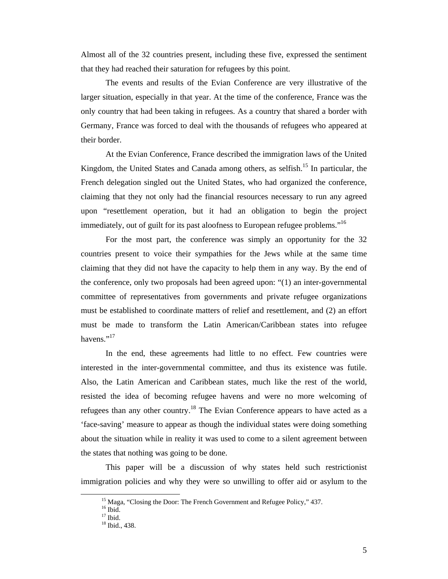Almost all of the 32 countries present, including these five, expressed the sentiment that they had reached their saturation for refugees by this point.

The events and results of the Evian Conference are very illustrative of the larger situation, especially in that year. At the time of the conference, France was the only country that had been taking in refugees. As a country that shared a border with Germany, France was forced to deal with the thousands of refugees who appeared at their border.

At the Evian Conference, France described the immigration laws of the United Kingdom, the United States and Canada among others, as selfish.<sup>15</sup> In particular, the French delegation singled out the United States, who had organized the conference, claiming that they not only had the financial resources necessary to run any agreed upon "resettlement operation, but it had an obligation to begin the project immediately, out of guilt for its past aloofness to European refugee problems."<sup>16</sup>

For the most part, the conference was simply an opportunity for the 32 countries present to voice their sympathies for the Jews while at the same time claiming that they did not have the capacity to help them in any way. By the end of the conference, only two proposals had been agreed upon: "(1) an inter-governmental committee of representatives from governments and private refugee organizations must be established to coordinate matters of relief and resettlement, and (2) an effort must be made to transform the Latin American/Caribbean states into refugee havens." $^{17}$ 

In the end, these agreements had little to no effect. Few countries were interested in the inter-governmental committee, and thus its existence was futile. Also, the Latin American and Caribbean states, much like the rest of the world, resisted the idea of becoming refugee havens and were no more welcoming of refugees than any other country.<sup>18</sup> The Evian Conference appears to have acted as a 'face-saving' measure to appear as though the individual states were doing something about the situation while in reality it was used to come to a silent agreement between the states that nothing was going to be done.

This paper will be a discussion of why states held such restrictionist immigration policies and why they were so unwilling to offer aid or asylum to the

<sup>&</sup>lt;sup>15</sup> Maga, "Closing the Door: The French Government and Refugee Policy," 437.

 $16$  Ibid.

 $17$  Ibid.

<sup>&</sup>lt;sup>18</sup> Ibid., 438.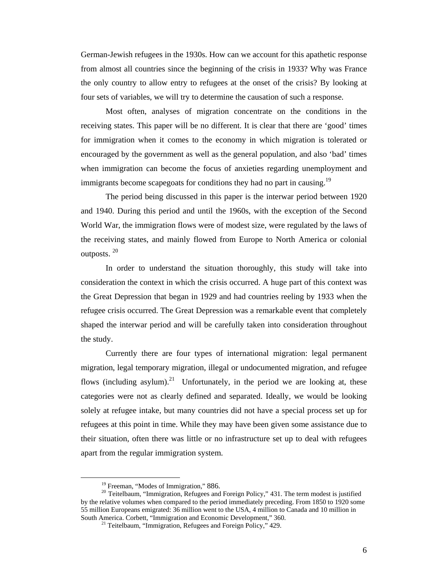German-Jewish refugees in the 1930s. How can we account for this apathetic response from almost all countries since the beginning of the crisis in 1933? Why was France the only country to allow entry to refugees at the onset of the crisis? By looking at four sets of variables, we will try to determine the causation of such a response.

Most often, analyses of migration concentrate on the conditions in the receiving states. This paper will be no different. It is clear that there are 'good' times for immigration when it comes to the economy in which migration is tolerated or encouraged by the government as well as the general population, and also 'bad' times when immigration can become the focus of anxieties regarding unemployment and immigrants become scapegoats for conditions they had no part in causing.<sup>19</sup>

The period being discussed in this paper is the interwar period between 1920 and 1940. During this period and until the 1960s, with the exception of the Second World War, the immigration flows were of modest size, were regulated by the laws of the receiving states, and mainly flowed from Europe to North America or colonial outposts. <sup>20</sup>

In order to understand the situation thoroughly, this study will take into consideration the context in which the crisis occurred. A huge part of this context was the Great Depression that began in 1929 and had countries reeling by 1933 when the refugee crisis occurred. The Great Depression was a remarkable event that completely shaped the interwar period and will be carefully taken into consideration throughout the study.

Currently there are four types of international migration: legal permanent migration, legal temporary migration, illegal or undocumented migration, and refugee flows (including asylum).<sup>21</sup> Unfortunately, in the period we are looking at, these categories were not as clearly defined and separated. Ideally, we would be looking solely at refugee intake, but many countries did not have a special process set up for refugees at this point in time. While they may have been given some assistance due to their situation, often there was little or no infrastructure set up to deal with refugees apart from the regular immigration system.

<sup>&</sup>lt;sup>19</sup> Freeman, "Modes of Immigration," 886.<br><sup>20</sup> Teitelbaum, "Immigration, Refugees and Foreign Policy," 431. The term modest is justified by the relative volumes when compared to the period immediately preceding. From 1850 to 1920 some 55 million Europeans emigrated: 36 million went to the USA, 4 million to Canada and 10 million in South America. Corbett, "Immigration and Economic Development," 360. 21 Teitelbaum, "Immigration, Refugees and Foreign Policy," 429.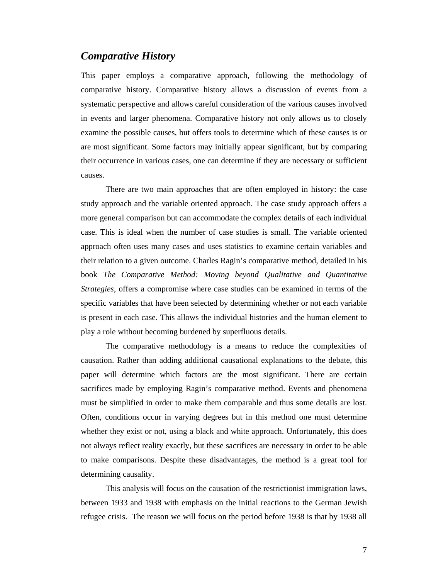### *Comparative History*

This paper employs a comparative approach, following the methodology of comparative history. Comparative history allows a discussion of events from a systematic perspective and allows careful consideration of the various causes involved in events and larger phenomena. Comparative history not only allows us to closely examine the possible causes, but offers tools to determine which of these causes is or are most significant. Some factors may initially appear significant, but by comparing their occurrence in various cases, one can determine if they are necessary or sufficient causes.

There are two main approaches that are often employed in history: the case study approach and the variable oriented approach. The case study approach offers a more general comparison but can accommodate the complex details of each individual case. This is ideal when the number of case studies is small. The variable oriented approach often uses many cases and uses statistics to examine certain variables and their relation to a given outcome. Charles Ragin's comparative method, detailed in his book *The Comparative Method: Moving beyond Qualitative and Quantitative Strategies*, offers a compromise where case studies can be examined in terms of the specific variables that have been selected by determining whether or not each variable is present in each case. This allows the individual histories and the human element to play a role without becoming burdened by superfluous details.

The comparative methodology is a means to reduce the complexities of causation. Rather than adding additional causational explanations to the debate, this paper will determine which factors are the most significant. There are certain sacrifices made by employing Ragin's comparative method. Events and phenomena must be simplified in order to make them comparable and thus some details are lost. Often, conditions occur in varying degrees but in this method one must determine whether they exist or not, using a black and white approach. Unfortunately, this does not always reflect reality exactly, but these sacrifices are necessary in order to be able to make comparisons. Despite these disadvantages, the method is a great tool for determining causality.

This analysis will focus on the causation of the restrictionist immigration laws, between 1933 and 1938 with emphasis on the initial reactions to the German Jewish refugee crisis. The reason we will focus on the period before 1938 is that by 1938 all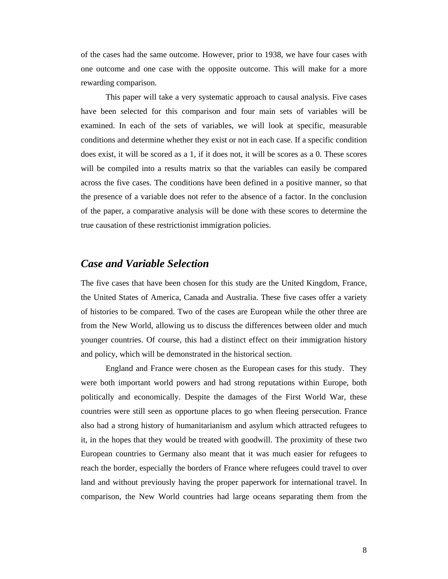of the cases had the same outcome. However, prior to 1938, we have four cases with one outcome and one case with the opposite outcome. This will make for a more rewarding comparison.

This paper will take a very systematic approach to causal analysis. Five cases have been selected for this comparison and four main sets of variables will be examined. In each of the sets of variables, we will look at specific, measurable conditions and determine whether they exist or not in each case. If a specific condition does exist, it will be scored as a 1, if it does not, it will be scores as a 0. These scores will be compiled into a results matrix so that the variables can easily be compared across the five cases. The conditions have been defined in a positive manner, so that the presence of a variable does not refer to the absence of a factor. In the conclusion of the paper, a comparative analysis will be done with these scores to determine the true causation of these restrictionist immigration policies.

#### *Case and Variable Selection*

The five cases that have been chosen for this study are the United Kingdom, France, the United States of America, Canada and Australia. These five cases offer a variety of histories to be compared. Two of the cases are European while the other three are from the New World, allowing us to discuss the differences between older and much younger countries. Of course, this had a distinct effect on their immigration history and policy, which will be demonstrated in the historical section.

England and France were chosen as the European cases for this study. They were both important world powers and had strong reputations within Europe, both politically and economically. Despite the damages of the First World War, these countries were still seen as opportune places to go when fleeing persecution. France also had a strong history of humanitarianism and asylum which attracted refugees to it, in the hopes that they would be treated with goodwill. The proximity of these two European countries to Germany also meant that it was much easier for refugees to reach the border, especially the borders of France where refugees could travel to over land and without previously having the proper paperwork for international travel. In comparison, the New World countries had large oceans separating them from the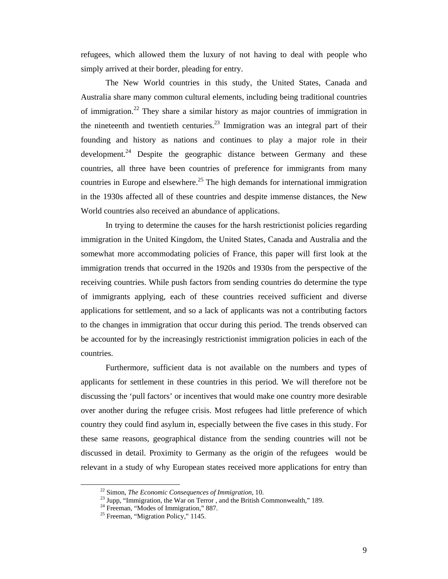refugees, which allowed them the luxury of not having to deal with people who simply arrived at their border, pleading for entry.

The New World countries in this study, the United States, Canada and Australia share many common cultural elements, including being traditional countries of immigration.<sup>22</sup> They share a similar history as major countries of immigration in the nineteenth and twentieth centuries.<sup>23</sup> Immigration was an integral part of their founding and history as nations and continues to play a major role in their development.<sup>24</sup> Despite the geographic distance between Germany and these countries, all three have been countries of preference for immigrants from many countries in Europe and elsewhere.<sup>25</sup> The high demands for international immigration in the 1930s affected all of these countries and despite immense distances, the New World countries also received an abundance of applications.

In trying to determine the causes for the harsh restrictionist policies regarding immigration in the United Kingdom, the United States, Canada and Australia and the somewhat more accommodating policies of France, this paper will first look at the immigration trends that occurred in the 1920s and 1930s from the perspective of the receiving countries. While push factors from sending countries do determine the type of immigrants applying, each of these countries received sufficient and diverse applications for settlement, and so a lack of applicants was not a contributing factors to the changes in immigration that occur during this period. The trends observed can be accounted for by the increasingly restrictionist immigration policies in each of the countries.

Furthermore, sufficient data is not available on the numbers and types of applicants for settlement in these countries in this period. We will therefore not be discussing the 'pull factors' or incentives that would make one country more desirable over another during the refugee crisis. Most refugees had little preference of which country they could find asylum in, especially between the five cases in this study. For these same reasons, geographical distance from the sending countries will not be discussed in detail. Proximity to Germany as the origin of the refugees would be relevant in a study of why European states received more applications for entry than

<sup>&</sup>lt;sup>22</sup> Simon, *The Economic Consequences of Immigration*, 10.<br><sup>23</sup> Jupp, "Immigration, the War on Terror , and the British Commonwealth," 189.

 $24$  Freeman, "Modes of Immigration," 887.

<sup>&</sup>lt;sup>25</sup> Freeman, "Migration Policy," 1145.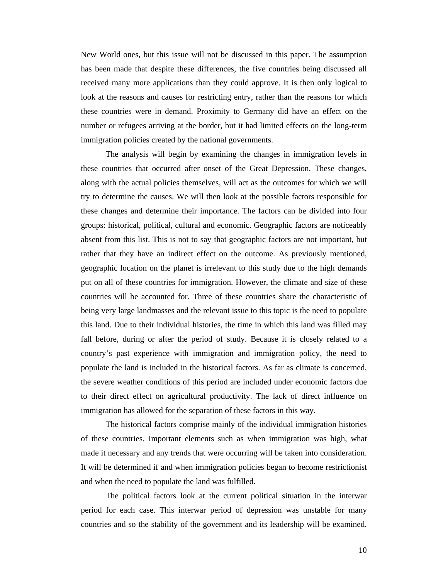New World ones, but this issue will not be discussed in this paper. The assumption has been made that despite these differences, the five countries being discussed all received many more applications than they could approve. It is then only logical to look at the reasons and causes for restricting entry, rather than the reasons for which these countries were in demand. Proximity to Germany did have an effect on the number or refugees arriving at the border, but it had limited effects on the long-term immigration policies created by the national governments.

The analysis will begin by examining the changes in immigration levels in these countries that occurred after onset of the Great Depression. These changes, along with the actual policies themselves, will act as the outcomes for which we will try to determine the causes. We will then look at the possible factors responsible for these changes and determine their importance. The factors can be divided into four groups: historical, political, cultural and economic. Geographic factors are noticeably absent from this list. This is not to say that geographic factors are not important, but rather that they have an indirect effect on the outcome. As previously mentioned, geographic location on the planet is irrelevant to this study due to the high demands put on all of these countries for immigration. However, the climate and size of these countries will be accounted for. Three of these countries share the characteristic of being very large landmasses and the relevant issue to this topic is the need to populate this land. Due to their individual histories, the time in which this land was filled may fall before, during or after the period of study. Because it is closely related to a country's past experience with immigration and immigration policy, the need to populate the land is included in the historical factors. As far as climate is concerned, the severe weather conditions of this period are included under economic factors due to their direct effect on agricultural productivity. The lack of direct influence on immigration has allowed for the separation of these factors in this way.

The historical factors comprise mainly of the individual immigration histories of these countries. Important elements such as when immigration was high, what made it necessary and any trends that were occurring will be taken into consideration. It will be determined if and when immigration policies began to become restrictionist and when the need to populate the land was fulfilled.

The political factors look at the current political situation in the interwar period for each case. This interwar period of depression was unstable for many countries and so the stability of the government and its leadership will be examined.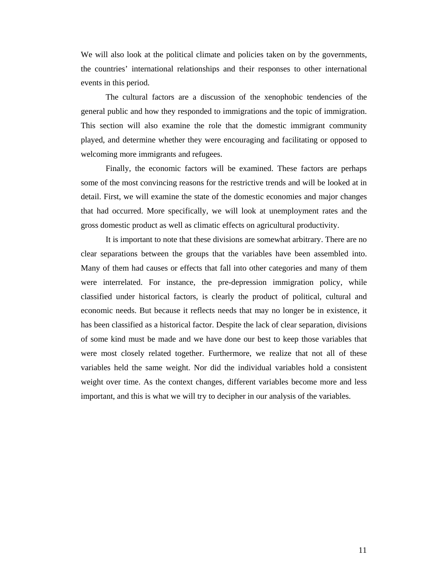We will also look at the political climate and policies taken on by the governments, the countries' international relationships and their responses to other international events in this period.

The cultural factors are a discussion of the xenophobic tendencies of the general public and how they responded to immigrations and the topic of immigration. This section will also examine the role that the domestic immigrant community played, and determine whether they were encouraging and facilitating or opposed to welcoming more immigrants and refugees.

Finally, the economic factors will be examined. These factors are perhaps some of the most convincing reasons for the restrictive trends and will be looked at in detail. First, we will examine the state of the domestic economies and major changes that had occurred. More specifically, we will look at unemployment rates and the gross domestic product as well as climatic effects on agricultural productivity.

It is important to note that these divisions are somewhat arbitrary. There are no clear separations between the groups that the variables have been assembled into. Many of them had causes or effects that fall into other categories and many of them were interrelated. For instance, the pre-depression immigration policy, while classified under historical factors, is clearly the product of political, cultural and economic needs. But because it reflects needs that may no longer be in existence, it has been classified as a historical factor. Despite the lack of clear separation, divisions of some kind must be made and we have done our best to keep those variables that were most closely related together. Furthermore, we realize that not all of these variables held the same weight. Nor did the individual variables hold a consistent weight over time. As the context changes, different variables become more and less important, and this is what we will try to decipher in our analysis of the variables.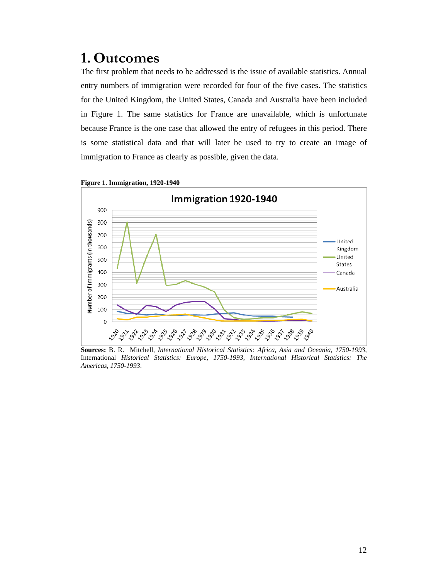# **1. Outcomes**

The first problem that needs to be addressed is the issue of available statistics. Annual entry numbers of immigration were recorded for four of the five cases. The statistics for the United Kingdom, the United States, Canada and Australia have been included in Figure 1. The same statistics for France are unavailable, which is unfortunate because France is the one case that allowed the entry of refugees in this period. There is some statistical data and that will later be used to try to create an image of immigration to France as clearly as possible, given the data.



**Figure 1. Immigration, 1920-1940** 

**Sources:** B. R. Mitchell, *International Historical Statistics: Africa, Asia and Oceania, 1750-1993*, International *Historical Statistics: Europe, 1750-1993*, *International Historical Statistics: The Americas, 1750-1993*.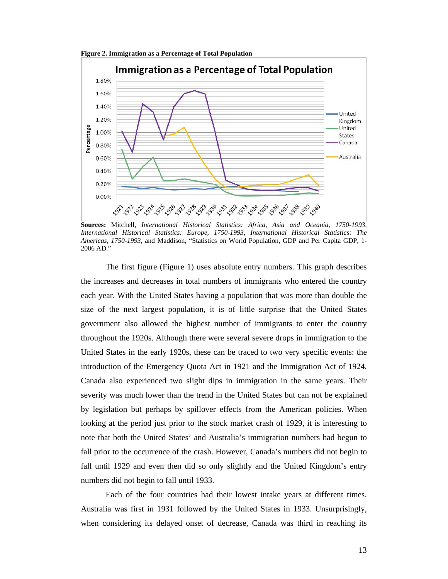**Figure 2. Immigration as a Percentage of Total Population** 



**Sources:** Mitchell, *International Historical Statistics: Africa, Asia and Oceania, 1750-1993*, *International Historical Statistics: Europe, 1750-1993*, *International Historical Statistics: The Americas, 1750-1993*, and Maddison, "Statistics on World Population, GDP and Per Capita GDP, 1- 2006 AD."

The first figure (Figure 1) uses absolute entry numbers. This graph describes the increases and decreases in total numbers of immigrants who entered the country each year. With the United States having a population that was more than double the size of the next largest population, it is of little surprise that the United States government also allowed the highest number of immigrants to enter the country throughout the 1920s. Although there were several severe drops in immigration to the United States in the early 1920s, these can be traced to two very specific events: the introduction of the Emergency Quota Act in 1921 and the Immigration Act of 1924. Canada also experienced two slight dips in immigration in the same years. Their severity was much lower than the trend in the United States but can not be explained by legislation but perhaps by spillover effects from the American policies. When looking at the period just prior to the stock market crash of 1929, it is interesting to note that both the United States' and Australia's immigration numbers had begun to fall prior to the occurrence of the crash. However, Canada's numbers did not begin to fall until 1929 and even then did so only slightly and the United Kingdom's entry numbers did not begin to fall until 1933.

Each of the four countries had their lowest intake years at different times. Australia was first in 1931 followed by the United States in 1933. Unsurprisingly, when considering its delayed onset of decrease, Canada was third in reaching its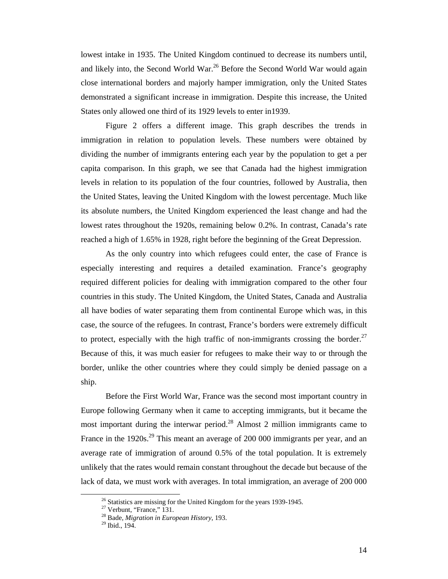lowest intake in 1935. The United Kingdom continued to decrease its numbers until, and likely into, the Second World War.<sup>26</sup> Before the Second World War would again close international borders and majorly hamper immigration, only the United States demonstrated a significant increase in immigration. Despite this increase, the United States only allowed one third of its 1929 levels to enter in1939.

Figure 2 offers a different image. This graph describes the trends in immigration in relation to population levels. These numbers were obtained by dividing the number of immigrants entering each year by the population to get a per capita comparison. In this graph, we see that Canada had the highest immigration levels in relation to its population of the four countries, followed by Australia, then the United States, leaving the United Kingdom with the lowest percentage. Much like its absolute numbers, the United Kingdom experienced the least change and had the lowest rates throughout the 1920s, remaining below 0.2%. In contrast, Canada's rate reached a high of 1.65% in 1928, right before the beginning of the Great Depression.

As the only country into which refugees could enter, the case of France is especially interesting and requires a detailed examination. France's geography required different policies for dealing with immigration compared to the other four countries in this study. The United Kingdom, the United States, Canada and Australia all have bodies of water separating them from continental Europe which was, in this case, the source of the refugees. In contrast, France's borders were extremely difficult to protect, especially with the high traffic of non-immigrants crossing the border.<sup>27</sup> Because of this, it was much easier for refugees to make their way to or through the border, unlike the other countries where they could simply be denied passage on a ship.

Before the First World War, France was the second most important country in Europe following Germany when it came to accepting immigrants, but it became the most important during the interwar period.<sup>28</sup> Almost 2 million immigrants came to France in the 1920s.<sup>29</sup> This meant an average of 200 000 immigrants per year, and an average rate of immigration of around 0.5% of the total population. It is extremely unlikely that the rates would remain constant throughout the decade but because of the lack of data, we must work with averages. In total immigration, an average of 200 000

 $26$  Statistics are missing for the United Kingdom for the years 1939-1945.

 $27$  Verbunt, "France," 131.

<sup>28</sup> Bade, *Migration in European History*, 193. 29 Ibid., 194.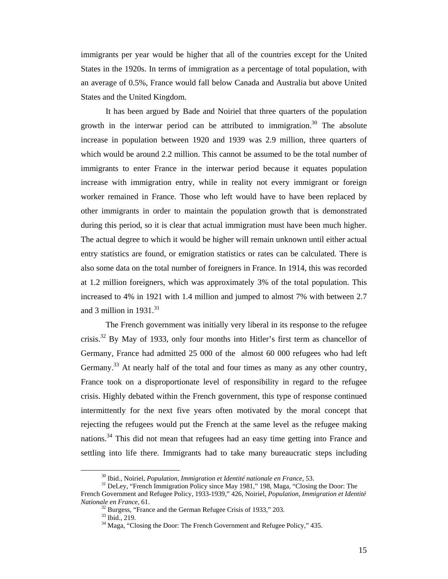immigrants per year would be higher that all of the countries except for the United States in the 1920s. In terms of immigration as a percentage of total population, with an average of 0.5%, France would fall below Canada and Australia but above United States and the United Kingdom.

It has been argued by Bade and Noiriel that three quarters of the population growth in the interwar period can be attributed to immigration.<sup>30</sup> The absolute increase in population between 1920 and 1939 was 2.9 million, three quarters of which would be around 2.2 million. This cannot be assumed to be the total number of immigrants to enter France in the interwar period because it equates population increase with immigration entry, while in reality not every immigrant or foreign worker remained in France. Those who left would have to have been replaced by other immigrants in order to maintain the population growth that is demonstrated during this period, so it is clear that actual immigration must have been much higher. The actual degree to which it would be higher will remain unknown until either actual entry statistics are found, or emigration statistics or rates can be calculated. There is also some data on the total number of foreigners in France. In 1914, this was recorded at 1.2 million foreigners, which was approximately 3% of the total population. This increased to 4% in 1921 with 1.4 million and jumped to almost 7% with between 2.7 and 3 million in  $1931<sup>31</sup>$ 

The French government was initially very liberal in its response to the refugee crisis.32 By May of 1933, only four months into Hitler's first term as chancellor of Germany, France had admitted 25 000 of the almost 60 000 refugees who had left Germany.<sup>33</sup> At nearly half of the total and four times as many as any other country, France took on a disproportionate level of responsibility in regard to the refugee crisis. Highly debated within the French government, this type of response continued intermittently for the next five years often motivated by the moral concept that rejecting the refugees would put the French at the same level as the refugee making nations.<sup>34</sup> This did not mean that refugees had an easy time getting into France and settling into life there. Immigrants had to take many bureaucratic steps including

<sup>&</sup>lt;sup>30</sup> Ibid., Noiriel, *Population, Immigration et Identité nationale en France*, 53.<br><sup>31</sup> DeLey, "French Immigration Policy since May 1981," 198, Maga, "Closing the Door: The French Government and Refugee Policy, 1933-1939," 426, Noiriel, *Population, Immigration et Identité Nationale en France,* 61. **32** Burgess, "France and the German Refugee Crisis of 1933," 203.

 $33$  Ibid., 219.

<sup>&</sup>lt;sup>34</sup> Maga, "Closing the Door: The French Government and Refugee Policy," 435.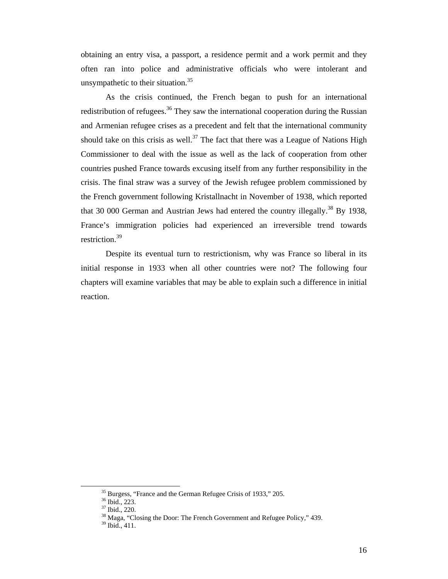obtaining an entry visa, a passport, a residence permit and a work permit and they often ran into police and administrative officials who were intolerant and unsympathetic to their situation.<sup>35</sup>

As the crisis continued, the French began to push for an international redistribution of refugees.<sup>36</sup> They saw the international cooperation during the Russian and Armenian refugee crises as a precedent and felt that the international community should take on this crisis as well.<sup>37</sup> The fact that there was a League of Nations High Commissioner to deal with the issue as well as the lack of cooperation from other countries pushed France towards excusing itself from any further responsibility in the crisis. The final straw was a survey of the Jewish refugee problem commissioned by the French government following Kristallnacht in November of 1938, which reported that 30 000 German and Austrian Jews had entered the country illegally.<sup>38</sup> By 1938, France's immigration policies had experienced an irreversible trend towards restriction.<sup>39</sup>

Despite its eventual turn to restrictionism, why was France so liberal in its initial response in 1933 when all other countries were not? The following four chapters will examine variables that may be able to explain such a difference in initial reaction.

<sup>&</sup>lt;sup>35</sup> Burgess, "France and the German Refugee Crisis of 1933," 205.

<sup>36</sup> Ibid., 223.

<sup>37</sup> Ibid., 220.

<sup>&</sup>lt;sup>38</sup> Maga, "Closing the Door: The French Government and Refugee Policy," 439.

<sup>39</sup> Ibid., 411.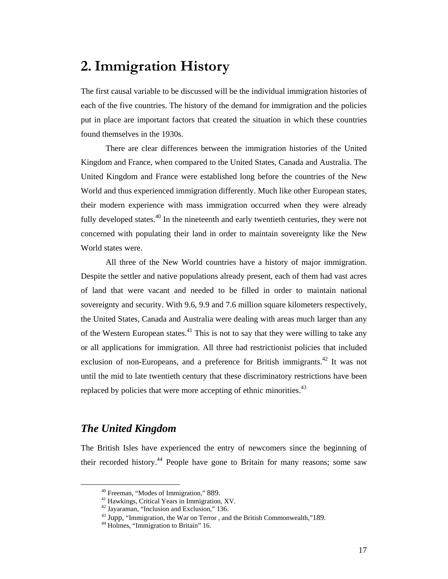# **2.Immigration History**

The first causal variable to be discussed will be the individual immigration histories of each of the five countries. The history of the demand for immigration and the policies put in place are important factors that created the situation in which these countries found themselves in the 1930s.

There are clear differences between the immigration histories of the United Kingdom and France, when compared to the United States, Canada and Australia. The United Kingdom and France were established long before the countries of the New World and thus experienced immigration differently. Much like other European states, their modern experience with mass immigration occurred when they were already fully developed states.<sup>40</sup> In the nineteenth and early twentieth centuries, they were not concerned with populating their land in order to maintain sovereignty like the New World states were.

All three of the New World countries have a history of major immigration. Despite the settler and native populations already present, each of them had vast acres of land that were vacant and needed to be filled in order to maintain national sovereignty and security. With 9.6, 9.9 and 7.6 million square kilometers respectively, the United States, Canada and Australia were dealing with areas much larger than any of the Western European states.<sup>41</sup> This is not to say that they were willing to take any or all applications for immigration. All three had restrictionist policies that included exclusion of non-Europeans, and a preference for British immigrants.<sup>42</sup> It was not until the mid to late twentieth century that these discriminatory restrictions have been replaced by policies that were more accepting of ethnic minorities.<sup>43</sup>

# *The United Kingdom*

The British Isles have experienced the entry of newcomers since the beginning of their recorded history.<sup>44</sup> People have gone to Britain for many reasons; some saw

 $40$  Freeman, "Modes of Immigration," 889.<br> $41$  Hawkings, Critical Years in Immigration, XV.

<sup>42</sup> Jayaraman, "Inclusion and Exclusion," 136.

<sup>&</sup>lt;sup>43</sup> Jupp, "Immigration, the War on Terror , and the British Commonwealth,"189.<br><sup>44</sup> Holmes, "Immigration to Britain" 16.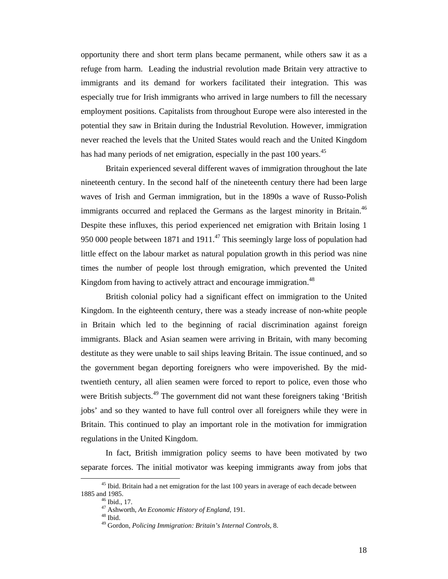opportunity there and short term plans became permanent, while others saw it as a refuge from harm. Leading the industrial revolution made Britain very attractive to immigrants and its demand for workers facilitated their integration. This was especially true for Irish immigrants who arrived in large numbers to fill the necessary employment positions. Capitalists from throughout Europe were also interested in the potential they saw in Britain during the Industrial Revolution. However, immigration never reached the levels that the United States would reach and the United Kingdom has had many periods of net emigration, especially in the past 100 years.<sup>45</sup>

Britain experienced several different waves of immigration throughout the late nineteenth century. In the second half of the nineteenth century there had been large waves of Irish and German immigration, but in the 1890s a wave of Russo-Polish immigrants occurred and replaced the Germans as the largest minority in Britain.<sup>46</sup> Despite these influxes, this period experienced net emigration with Britain losing 1 950 000 people between 1871 and 1911. $^{47}$  This seemingly large loss of population had little effect on the labour market as natural population growth in this period was nine times the number of people lost through emigration, which prevented the United Kingdom from having to actively attract and encourage immigration.<sup>48</sup>

British colonial policy had a significant effect on immigration to the United Kingdom. In the eighteenth century, there was a steady increase of non-white people in Britain which led to the beginning of racial discrimination against foreign immigrants. Black and Asian seamen were arriving in Britain, with many becoming destitute as they were unable to sail ships leaving Britain. The issue continued, and so the government began deporting foreigners who were impoverished. By the midtwentieth century, all alien seamen were forced to report to police, even those who were British subjects.<sup>49</sup> The government did not want these foreigners taking 'British jobs' and so they wanted to have full control over all foreigners while they were in Britain. This continued to play an important role in the motivation for immigration regulations in the United Kingdom.

In fact, British immigration policy seems to have been motivated by two separate forces. The initial motivator was keeping immigrants away from jobs that

 $45$  Ibid. Britain had a net emigration for the last 100 years in average of each decade between 1885 and 1985.<br><sup>46</sup> Ibid., 17.

<sup>47</sup> Ashworth, *An Economic History of England,* 191. 48 Ibid.

<sup>49</sup> Gordon, *Policing Immigration: Britain's Internal Controls,* 8.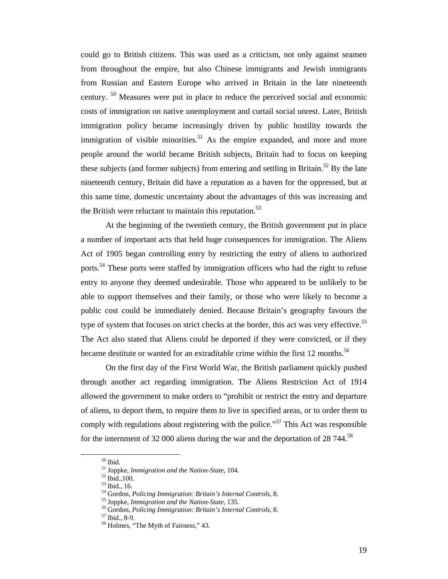could go to British citizens. This was used as a criticism, not only against seamen from throughout the empire, but also Chinese immigrants and Jewish immigrants from Russian and Eastern Europe who arrived in Britain in the late nineteenth century. 50 Measures were put in place to reduce the perceived social and economic costs of immigration on native unemployment and curtail social unrest. Later, British immigration policy became increasingly driven by public hostility towards the immigration of visible minorities.<sup>51</sup> As the empire expanded, and more and more people around the world became British subjects, Britain had to focus on keeping these subjects (and former subjects) from entering and settling in Britain.<sup>52</sup> By the late nineteenth century, Britain did have a reputation as a haven for the oppressed, but at this same time, domestic uncertainty about the advantages of this was increasing and the British were reluctant to maintain this reputation. $53$ 

At the beginning of the twentieth century, the British government put in place a number of important acts that held huge consequences for immigration. The Aliens Act of 1905 began controlling entry by restricting the entry of aliens to authorized ports.<sup>54</sup> These ports were staffed by immigration officers who had the right to refuse entry to anyone they deemed undesirable. Those who appeared to be unlikely to be able to support themselves and their family, or those who were likely to become a public cost could be immediately denied. Because Britain's geography favours the type of system that focuses on strict checks at the border, this act was very effective.<sup>55</sup> The Act also stated that Aliens could be deported if they were convicted, or if they became destitute or wanted for an extraditable crime within the first 12 months.<sup>56</sup>

On the first day of the First World War, the British parliament quickly pushed through another act regarding immigration. The Aliens Restriction Act of 1914 allowed the government to make orders to "prohibit or restrict the entry and departure of aliens, to deport them, to require them to live in specified areas, or to order them to comply with regulations about registering with the police.<sup> $57$ </sup> This Act was responsible for the internment of 32 000 aliens during the war and the deportation of 28 744.<sup>58</sup>

 $^{\rm 50}$  Ibid.

<sup>&</sup>lt;sup>51</sup> Joppke, *Immigration and the Nation-State*, 104.<br><sup>52</sup> Ibid., 100.<br><sup>53</sup> Ibid., 16.<br><sup>54</sup> Gordon, *Policing Immigration: Britain's Internal Controls*, 8.

<sup>&</sup>lt;sup>55</sup> Joppke, *Immigration and the Nation-State*, 135.<br><sup>56</sup> Gordon, *Policing Immigration: Britain's Internal Controls*, 8.<br><sup>57</sup> Ibid., 8-9.

<sup>58</sup> Holmes, "The Myth of Fairness," 43.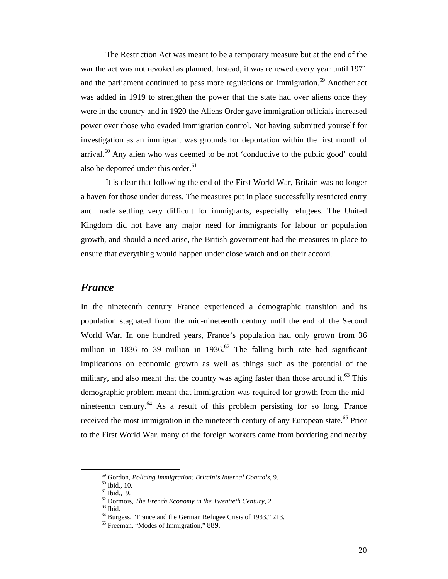The Restriction Act was meant to be a temporary measure but at the end of the war the act was not revoked as planned. Instead, it was renewed every year until 1971 and the parliament continued to pass more regulations on immigration.<sup>59</sup> Another act was added in 1919 to strengthen the power that the state had over aliens once they were in the country and in 1920 the Aliens Order gave immigration officials increased power over those who evaded immigration control. Not having submitted yourself for investigation as an immigrant was grounds for deportation within the first month of arrival. $60$  Any alien who was deemed to be not 'conductive to the public good' could also be deported under this order.<sup>61</sup>

It is clear that following the end of the First World War, Britain was no longer a haven for those under duress. The measures put in place successfully restricted entry and made settling very difficult for immigrants, especially refugees. The United Kingdom did not have any major need for immigrants for labour or population growth, and should a need arise, the British government had the measures in place to ensure that everything would happen under close watch and on their accord.

#### *France*

In the nineteenth century France experienced a demographic transition and its population stagnated from the mid-nineteenth century until the end of the Second World War. In one hundred years, France's population had only grown from 36 million in 1836 to 39 million in 1936.<sup>62</sup> The falling birth rate had significant implications on economic growth as well as things such as the potential of the military, and also meant that the country was aging faster than those around it.<sup>63</sup> This demographic problem meant that immigration was required for growth from the midnineteenth century. $64$  As a result of this problem persisting for so long, France received the most immigration in the nineteenth century of any European state.<sup>65</sup> Prior to the First World War, many of the foreign workers came from bordering and nearby

<sup>&</sup>lt;sup>59</sup> Gordon, *Policing Immigration: Britain's Internal Controls*, 9.<br><sup>60</sup> Ibid., 10.<br><sup>61</sup> Ibid., 9.<br><sup>62</sup> Dormois, *The French Economy in the Twentieth Century*, 2.<br><sup>63</sup> Ibid.

<sup>64</sup> Burgess, "France and the German Refugee Crisis of 1933," 213.

<sup>65</sup> Freeman, "Modes of Immigration," 889.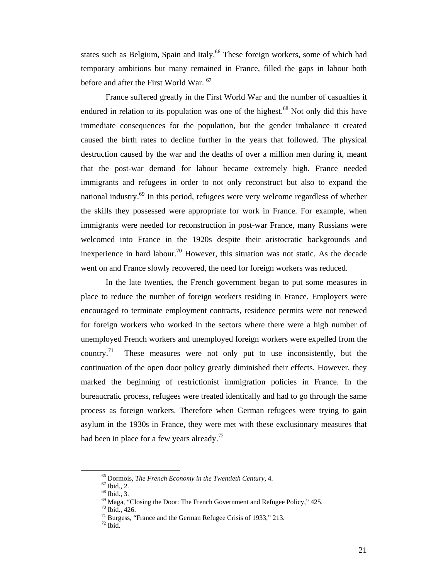states such as Belgium, Spain and Italy.<sup>66</sup> These foreign workers, some of which had temporary ambitions but many remained in France, filled the gaps in labour both before and after the First World War. <sup>67</sup>

France suffered greatly in the First World War and the number of casualties it endured in relation to its population was one of the highest.<sup>68</sup> Not only did this have immediate consequences for the population, but the gender imbalance it created caused the birth rates to decline further in the years that followed. The physical destruction caused by the war and the deaths of over a million men during it, meant that the post-war demand for labour became extremely high. France needed immigrants and refugees in order to not only reconstruct but also to expand the national industry. $^{69}$  In this period, refugees were very welcome regardless of whether the skills they possessed were appropriate for work in France. For example, when immigrants were needed for reconstruction in post-war France, many Russians were welcomed into France in the 1920s despite their aristocratic backgrounds and inexperience in hard labour.<sup>70</sup> However, this situation was not static. As the decade went on and France slowly recovered, the need for foreign workers was reduced.

In the late twenties, the French government began to put some measures in place to reduce the number of foreign workers residing in France. Employers were encouraged to terminate employment contracts, residence permits were not renewed for foreign workers who worked in the sectors where there were a high number of unemployed French workers and unemployed foreign workers were expelled from the country.<sup>71</sup> These measures were not only put to use inconsistently, but the continuation of the open door policy greatly diminished their effects. However, they marked the beginning of restrictionist immigration policies in France. In the bureaucratic process, refugees were treated identically and had to go through the same process as foreign workers. Therefore when German refugees were trying to gain asylum in the 1930s in France, they were met with these exclusionary measures that had been in place for a few years already.<sup>72</sup>

<sup>&</sup>lt;sup>66</sup> Dormois, *The French Economy in the Twentieth Century*, 4.<br><sup>67</sup> Ibid., 2.<br><sup>68</sup> Ibid., 3.<br><sup>69</sup> Maga, "Closing the Door: The French Government and Refugee Policy," 425.

 $70 \text{ Ibid., } 426.$ 

 $71$  Burgess, "France and the German Refugee Crisis of 1933," 213.

 $72$  Ibid.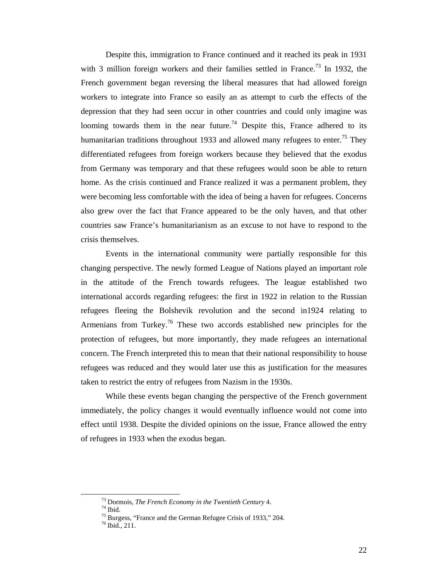Despite this, immigration to France continued and it reached its peak in 1931 with 3 million foreign workers and their families settled in France.<sup>73</sup> In 1932, the French government began reversing the liberal measures that had allowed foreign workers to integrate into France so easily an as attempt to curb the effects of the depression that they had seen occur in other countries and could only imagine was looming towards them in the near future.<sup>74</sup> Despite this, France adhered to its humanitarian traditions throughout 1933 and allowed many refugees to enter.<sup>75</sup> They differentiated refugees from foreign workers because they believed that the exodus from Germany was temporary and that these refugees would soon be able to return home. As the crisis continued and France realized it was a permanent problem, they were becoming less comfortable with the idea of being a haven for refugees. Concerns also grew over the fact that France appeared to be the only haven, and that other countries saw France's humanitarianism as an excuse to not have to respond to the crisis themselves.

Events in the international community were partially responsible for this changing perspective. The newly formed League of Nations played an important role in the attitude of the French towards refugees. The league established two international accords regarding refugees: the first in 1922 in relation to the Russian refugees fleeing the Bolshevik revolution and the second in1924 relating to Armenians from Turkey.<sup>76</sup> These two accords established new principles for the protection of refugees, but more importantly, they made refugees an international concern. The French interpreted this to mean that their national responsibility to house refugees was reduced and they would later use this as justification for the measures taken to restrict the entry of refugees from Nazism in the 1930s.

While these events began changing the perspective of the French government immediately, the policy changes it would eventually influence would not come into effect until 1938. Despite the divided opinions on the issue, France allowed the entry of refugees in 1933 when the exodus began.

 <sup>73</sup> Dormois, *The French Economy in the Twentieth Century* 4. 74 Ibid.

<sup>&</sup>lt;sup>75</sup> Burgess, "France and the German Refugee Crisis of 1933," 204.

<sup>76</sup> Ibid., 211.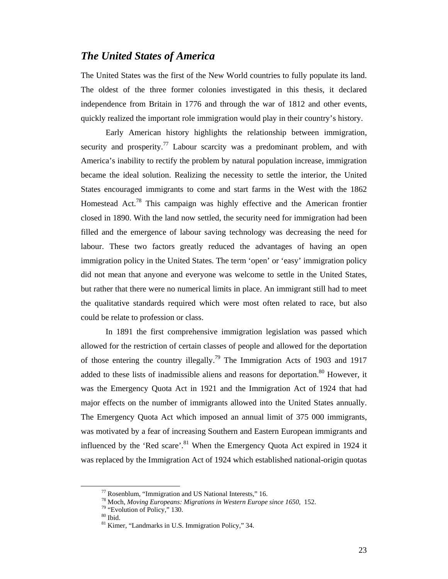### *The United States of America*

The United States was the first of the New World countries to fully populate its land. The oldest of the three former colonies investigated in this thesis, it declared independence from Britain in 1776 and through the war of 1812 and other events, quickly realized the important role immigration would play in their country's history.

Early American history highlights the relationship between immigration, security and prosperity.<sup>77</sup> Labour scarcity was a predominant problem, and with America's inability to rectify the problem by natural population increase, immigration became the ideal solution. Realizing the necessity to settle the interior, the United States encouraged immigrants to come and start farms in the West with the 1862 Homestead Act.<sup>78</sup> This campaign was highly effective and the American frontier closed in 1890. With the land now settled, the security need for immigration had been filled and the emergence of labour saving technology was decreasing the need for labour. These two factors greatly reduced the advantages of having an open immigration policy in the United States. The term 'open' or 'easy' immigration policy did not mean that anyone and everyone was welcome to settle in the United States, but rather that there were no numerical limits in place. An immigrant still had to meet the qualitative standards required which were most often related to race, but also could be relate to profession or class.

In 1891 the first comprehensive immigration legislation was passed which allowed for the restriction of certain classes of people and allowed for the deportation of those entering the country illegally.<sup>79</sup> The Immigration Acts of 1903 and 1917 added to these lists of inadmissible aliens and reasons for deportation.<sup>80</sup> However, it was the Emergency Quota Act in 1921 and the Immigration Act of 1924 that had major effects on the number of immigrants allowed into the United States annually. The Emergency Quota Act which imposed an annual limit of 375 000 immigrants, was motivated by a fear of increasing Southern and Eastern European immigrants and influenced by the 'Red scare'.<sup>81</sup> When the Emergency Quota Act expired in 1924 it was replaced by the Immigration Act of 1924 which established national-origin quotas

 $77$  Rosenblum, "Immigration and US National Interests," 16.

<sup>&</sup>lt;sup>78</sup> Moch, *Moving Europeans: Migrations in Western Europe since 1650*, 152.<br><sup>79</sup> "Evolution of Policy," 130.

 $^{\rm 80}$  Ibid.

<sup>81</sup> Kimer, "Landmarks in U.S. Immigration Policy," 34.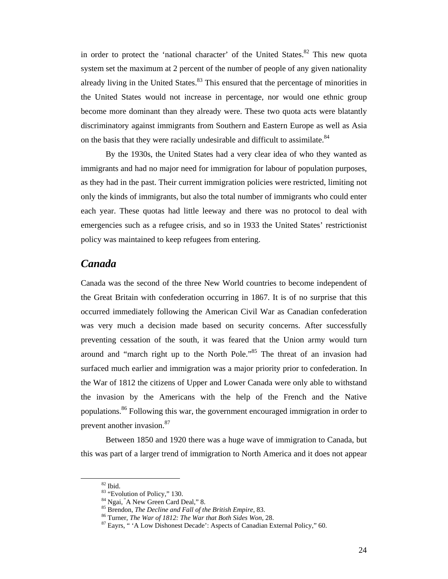in order to protect the 'national character' of the United States. $82$  This new quota system set the maximum at 2 percent of the number of people of any given nationality already living in the United States. $83$  This ensured that the percentage of minorities in the United States would not increase in percentage, nor would one ethnic group become more dominant than they already were. These two quota acts were blatantly discriminatory against immigrants from Southern and Eastern Europe as well as Asia on the basis that they were racially undesirable and difficult to assimilate.<sup>84</sup>

By the 1930s, the United States had a very clear idea of who they wanted as immigrants and had no major need for immigration for labour of population purposes, as they had in the past. Their current immigration policies were restricted, limiting not only the kinds of immigrants, but also the total number of immigrants who could enter each year. These quotas had little leeway and there was no protocol to deal with emergencies such as a refugee crisis, and so in 1933 the United States' restrictionist policy was maintained to keep refugees from entering.

### *Canada*

Canada was the second of the three New World countries to become independent of the Great Britain with confederation occurring in 1867. It is of no surprise that this occurred immediately following the American Civil War as Canadian confederation was very much a decision made based on security concerns. After successfully preventing cessation of the south, it was feared that the Union army would turn around and "march right up to the North Pole."<sup>85</sup> The threat of an invasion had surfaced much earlier and immigration was a major priority prior to confederation. In the War of 1812 the citizens of Upper and Lower Canada were only able to withstand the invasion by the Americans with the help of the French and the Native populations.<sup>86</sup> Following this war, the government encouraged immigration in order to prevent another invasion.<sup>87</sup>

Between 1850 and 1920 there was a huge wave of immigration to Canada, but this was part of a larger trend of immigration to North America and it does not appear

 $\,$  82 Ibid.

 $83$  "Evolution of Policy," 130.<br> $84$  Ngai,  $A$  New Green Card Deal," 8.

<sup>&</sup>lt;sup>85</sup> Brendon, *The Decline and Fall of the British Empire*, 83.<br><sup>86</sup> Turner, *The War of 1812: The War that Both Sides Won*, 28.<br><sup>87</sup> Eayrs, " 'A Low Dishonest Decade': Aspects of Canadian External Policy," 60.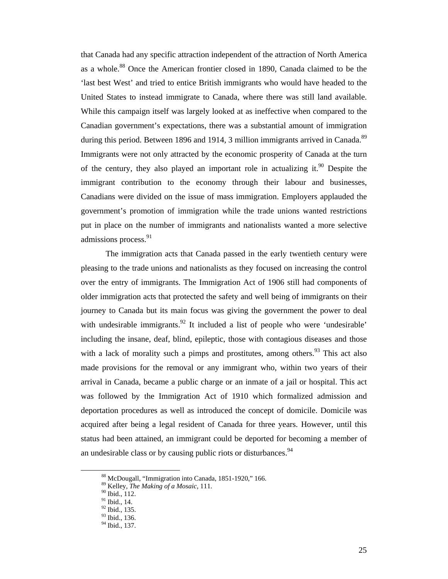that Canada had any specific attraction independent of the attraction of North America as a whole.88 Once the American frontier closed in 1890, Canada claimed to be the 'last best West' and tried to entice British immigrants who would have headed to the United States to instead immigrate to Canada, where there was still land available. While this campaign itself was largely looked at as ineffective when compared to the Canadian government's expectations, there was a substantial amount of immigration during this period. Between 1896 and 1914, 3 million immigrants arrived in Canada.<sup>89</sup> Immigrants were not only attracted by the economic prosperity of Canada at the turn of the century, they also played an important role in actualizing it.<sup>90</sup> Despite the immigrant contribution to the economy through their labour and businesses, Canadians were divided on the issue of mass immigration. Employers applauded the government's promotion of immigration while the trade unions wanted restrictions put in place on the number of immigrants and nationalists wanted a more selective admissions process.<sup>91</sup>

The immigration acts that Canada passed in the early twentieth century were pleasing to the trade unions and nationalists as they focused on increasing the control over the entry of immigrants. The Immigration Act of 1906 still had components of older immigration acts that protected the safety and well being of immigrants on their journey to Canada but its main focus was giving the government the power to deal with undesirable immigrants.<sup>92</sup> It included a list of people who were 'undesirable' including the insane, deaf, blind, epileptic, those with contagious diseases and those with a lack of morality such a pimps and prostitutes, among others.  $93$  This act also made provisions for the removal or any immigrant who, within two years of their arrival in Canada, became a public charge or an inmate of a jail or hospital. This act was followed by the Immigration Act of 1910 which formalized admission and deportation procedures as well as introduced the concept of domicile. Domicile was acquired after being a legal resident of Canada for three years. However, until this status had been attained, an immigrant could be deported for becoming a member of an undesirable class or by causing public riots or disturbances.<sup>94</sup>

 <sup>88</sup> McDougall, "Immigration into Canada, 1851-1920," 166.

<sup>89</sup> Kelley, *The Making of a Mosaic*, 111. 90 Ibid., 112.

 $91$  Ibid., 14.

 $^{92}$  Ibid., 135.

<sup>&</sup>lt;sup>93</sup> Ibid., 136.

<sup>&</sup>lt;sup>94</sup> Ibid., 137.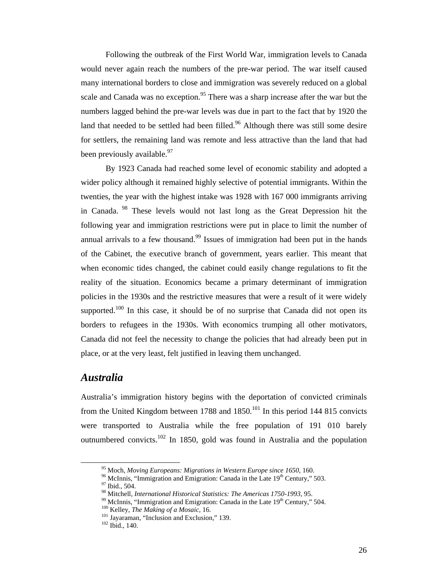Following the outbreak of the First World War, immigration levels to Canada would never again reach the numbers of the pre-war period. The war itself caused many international borders to close and immigration was severely reduced on a global scale and Canada was no exception.<sup>95</sup> There was a sharp increase after the war but the numbers lagged behind the pre-war levels was due in part to the fact that by 1920 the land that needed to be settled had been filled.<sup>96</sup> Although there was still some desire for settlers, the remaining land was remote and less attractive than the land that had been previously available.<sup>97</sup>

By 1923 Canada had reached some level of economic stability and adopted a wider policy although it remained highly selective of potential immigrants. Within the twenties, the year with the highest intake was 1928 with 167 000 immigrants arriving in Canada. 98 These levels would not last long as the Great Depression hit the following year and immigration restrictions were put in place to limit the number of annual arrivals to a few thousand.<sup>99</sup> Issues of immigration had been put in the hands of the Cabinet, the executive branch of government, years earlier. This meant that when economic tides changed, the cabinet could easily change regulations to fit the reality of the situation. Economics became a primary determinant of immigration policies in the 1930s and the restrictive measures that were a result of it were widely supported.<sup>100</sup> In this case, it should be of no surprise that Canada did not open its borders to refugees in the 1930s. With economics trumping all other motivators, Canada did not feel the necessity to change the policies that had already been put in place, or at the very least, felt justified in leaving them unchanged.

### *Australia*

Australia's immigration history begins with the deportation of convicted criminals from the United Kingdom between 1788 and  $1850$ <sup> $101$ </sup> In this period 144 815 convicts were transported to Australia while the free population of 191 010 barely outnumbered convicts.<sup>102</sup> In 1850, gold was found in Australia and the population

<sup>&</sup>lt;sup>95</sup> Moch, *Moving Europeans: Migrations in Western Europe since 1650*, 160.<br><sup>96</sup> McInnis, "Immigration and Emigration: Canada in the Late 19<sup>th</sup> Century," 503.<br><sup>97</sup> Ibid., 504.<br><sup>98</sup> Mitchell, *International Historical Sta* 

<sup>&</sup>lt;sup>99</sup> McInnis, "Immigration and Emigration: Canada in the Late  $19^{th}$  Century," 504.<br><sup>100</sup> Kelley, *The Making of a Mosaic*, 16.<br><sup>101</sup> Jayaraman, "Inclusion and Exclusion," 139.<br><sup>102</sup> Ibid. 140.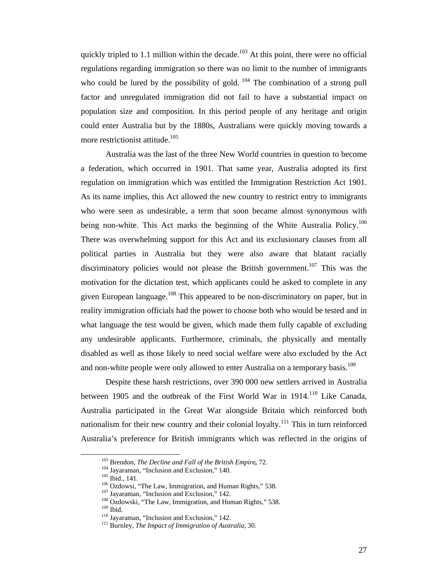quickly tripled to 1.1 million within the decade.<sup>103</sup> At this point, there were no official regulations regarding immigration so there was no limit to the number of immigrants who could be lured by the possibility of gold.  $104$  The combination of a strong pull factor and unregulated immigration did not fail to have a substantial impact on population size and composition. In this period people of any heritage and origin could enter Australia but by the 1880s, Australians were quickly moving towards a more restrictionist attitude.<sup>105</sup>

Australia was the last of the three New World countries in question to become a federation, which occurred in 1901. That same year, Australia adopted its first regulation on immigration which was entitled the Immigration Restriction Act 1901. As its name implies, this Act allowed the new country to restrict entry to immigrants who were seen as undesirable, a term that soon became almost synonymous with being non-white. This Act marks the beginning of the White Australia Policy.<sup>106</sup> There was overwhelming support for this Act and its exclusionary clauses from all political parties in Australia but they were also aware that blatant racially discriminatory policies would not please the British government.<sup>107</sup> This was the motivation for the dictation test, which applicants could be asked to complete in any given European language.<sup>108</sup> This appeared to be non-discriminatory on paper, but in reality immigration officials had the power to choose both who would be tested and in what language the test would be given, which made them fully capable of excluding any undesirable applicants. Furthermore, criminals, the physically and mentally disabled as well as those likely to need social welfare were also excluded by the Act and non-white people were only allowed to enter Australia on a temporary basis.<sup>109</sup>

Despite these harsh restrictions, over 390 000 new settlers arrived in Australia between 1905 and the outbreak of the First World War in 1914.<sup>110</sup> Like Canada, Australia participated in the Great War alongside Britain which reinforced both nationalism for their new country and their colonial loyalty.<sup>111</sup> This in turn reinforced Australia's preference for British immigrants which was reflected in the origins of

<sup>&</sup>lt;sup>103</sup> Brendon, *The Decline and Fall of the British Empire*, 72.<br><sup>104</sup> Jayaraman, "Inclusion and Exclusion," 140.<br><sup>105</sup> Ibid., 141.<br><sup>106</sup> Ozdowsi, "The Law, Immigration, and Human Rights," 538.<br><sup>107</sup> Jayaraman, "Inclusion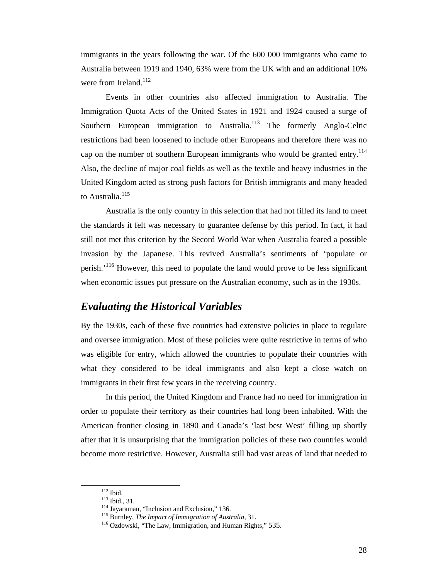immigrants in the years following the war. Of the 600 000 immigrants who came to Australia between 1919 and 1940, 63% were from the UK with and an additional 10% were from Ireland. $112$ 

Events in other countries also affected immigration to Australia. The Immigration Quota Acts of the United States in 1921 and 1924 caused a surge of Southern European immigration to Australia.<sup>113</sup> The formerly Anglo-Celtic restrictions had been loosened to include other Europeans and therefore there was no cap on the number of southern European immigrants who would be granted entry.<sup>114</sup> Also, the decline of major coal fields as well as the textile and heavy industries in the United Kingdom acted as strong push factors for British immigrants and many headed to Australia.<sup>115</sup>

Australia is the only country in this selection that had not filled its land to meet the standards it felt was necessary to guarantee defense by this period. In fact, it had still not met this criterion by the Secord World War when Australia feared a possible invasion by the Japanese. This revived Australia's sentiments of 'populate or perish.<sup>'116</sup> However, this need to populate the land would prove to be less significant when economic issues put pressure on the Australian economy, such as in the 1930s.

# *Evaluating the Historical Variables*

By the 1930s, each of these five countries had extensive policies in place to regulate and oversee immigration. Most of these policies were quite restrictive in terms of who was eligible for entry, which allowed the countries to populate their countries with what they considered to be ideal immigrants and also kept a close watch on immigrants in their first few years in the receiving country.

In this period, the United Kingdom and France had no need for immigration in order to populate their territory as their countries had long been inhabited. With the American frontier closing in 1890 and Canada's 'last best West' filling up shortly after that it is unsurprising that the immigration policies of these two countries would become more restrictive. However, Australia still had vast areas of land that needed to

<sup>&</sup>lt;sup>112</sup> Ibid., 31.<br><sup>113</sup> Jayaraman, "Inclusion and Exclusion," 136.<br><sup>115</sup> Burnley, *The Impact of Immigration of Australia*, 31.<br><sup>116</sup> Ozdowski, "The Law, Immigration, and Human Rights," 535.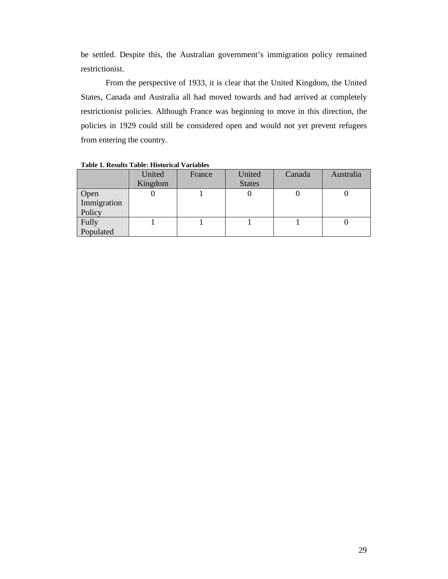be settled. Despite this, the Australian government's immigration policy remained restrictionist.

From the perspective of 1933, it is clear that the United Kingdom, the United States, Canada and Australia all had moved towards and had arrived at completely restrictionist policies. Although France was beginning to move in this direction, the policies in 1929 could still be considered open and would not yet prevent refugees from entering the country.

|                               | United<br>Kingdom | France | United<br><b>States</b> | Canada | Australia |
|-------------------------------|-------------------|--------|-------------------------|--------|-----------|
| Open<br>Immigration<br>Policy |                   |        |                         |        |           |
| Fully<br>Populated            |                   |        |                         |        |           |

**Table 1. Results Table: Historical Variables**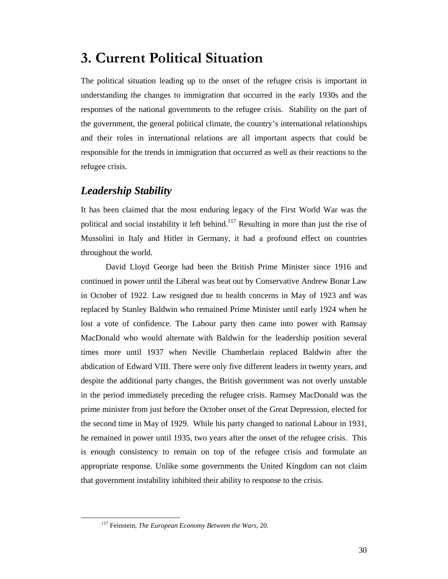# **3. Current Political Situation**

The political situation leading up to the onset of the refugee crisis is important in understanding the changes to immigration that occurred in the early 1930s and the responses of the national governments to the refugee crisis. Stability on the part of the government, the general political climate, the country's international relationships and their roles in international relations are all important aspects that could be responsible for the trends in immigration that occurred as well as their reactions to the refugee crisis.

# *Leadership Stability*

It has been claimed that the most enduring legacy of the First World War was the political and social instability it left behind.<sup>117</sup> Resulting in more than just the rise of Mussolini in Italy and Hitler in Germany, it had a profound effect on countries throughout the world.

David Lloyd George had been the British Prime Minister since 1916 and continued in power until the Liberal was beat out by Conservative Andrew Bonar Law in October of 1922. Law resigned due to health concerns in May of 1923 and was replaced by Stanley Baldwin who remained Prime Minister until early 1924 when he lost a vote of confidence. The Labour party then came into power with Ramsay MacDonald who would alternate with Baldwin for the leadership position several times more until 1937 when Neville Chamberlain replaced Baldwin after the abdication of Edward VIII. There were only five different leaders in twenty years, and despite the additional party changes, the British government was not overly unstable in the period immediately preceding the refugee crisis. Ramsey MacDonald was the prime minister from just before the October onset of the Great Depression, elected for the second time in May of 1929. While his party changed to national Labour in 1931, he remained in power until 1935, two years after the onset of the refugee crisis. This is enough consistency to remain on top of the refugee crisis and formulate an appropriate response. Unlike some governments the United Kingdom can not claim that government instability inhibited their ability to response to the crisis.

 <sup>117</sup> Feinstein, *The European Economy Between the Wars,* 20.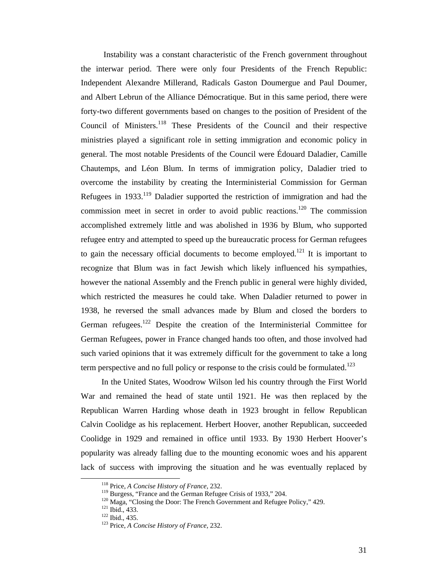Instability was a constant characteristic of the French government throughout the interwar period. There were only four Presidents of the French Republic: Independent Alexandre Millerand, Radicals Gaston Doumergue and Paul Doumer, and Albert Lebrun of the Alliance Démocratique. But in this same period, there were forty-two different governments based on changes to the position of President of the Council of Ministers.<sup>118</sup> These Presidents of the Council and their respective ministries played a significant role in setting immigration and economic policy in general. The most notable Presidents of the Council were Édouard Daladier, Camille Chautemps, and Léon Blum. In terms of immigration policy, Daladier tried to overcome the instability by creating the Interministerial Commission for German Refugees in  $1933$ <sup>119</sup> Daladier supported the restriction of immigration and had the commission meet in secret in order to avoid public reactions.<sup>120</sup> The commission accomplished extremely little and was abolished in 1936 by Blum, who supported refugee entry and attempted to speed up the bureaucratic process for German refugees to gain the necessary official documents to become employed.<sup>121</sup> It is important to recognize that Blum was in fact Jewish which likely influenced his sympathies, however the national Assembly and the French public in general were highly divided, which restricted the measures he could take. When Daladier returned to power in 1938, he reversed the small advances made by Blum and closed the borders to German refugees.<sup>122</sup> Despite the creation of the Interministerial Committee for German Refugees, power in France changed hands too often, and those involved had such varied opinions that it was extremely difficult for the government to take a long term perspective and no full policy or response to the crisis could be formulated.<sup>123</sup>

In the United States, Woodrow Wilson led his country through the First World War and remained the head of state until 1921. He was then replaced by the Republican Warren Harding whose death in 1923 brought in fellow Republican Calvin Coolidge as his replacement. Herbert Hoover, another Republican, succeeded Coolidge in 1929 and remained in office until 1933. By 1930 Herbert Hoover's popularity was already falling due to the mounting economic woes and his apparent lack of success with improving the situation and he was eventually replaced by

<sup>&</sup>lt;sup>118</sup> Price, *A Concise History of France*, 232.<br><sup>119</sup> Burgess, "France and the German Refugee Crisis of 1933," 204.<br><sup>120</sup> Maga, "Closing the Door: The French Government and Refugee Policy," 429.<br><sup>121</sup> Ibid., 433.<br><sup>122</sup> I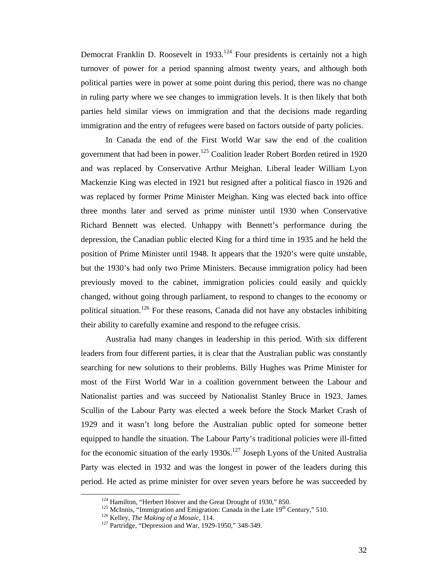Democrat Franklin D. Roosevelt in 1933.<sup>124</sup> Four presidents is certainly not a high turnover of power for a period spanning almost twenty years, and although both political parties were in power at some point during this period, there was no change in ruling party where we see changes to immigration levels. It is then likely that both parties held similar views on immigration and that the decisions made regarding immigration and the entry of refugees were based on factors outside of party policies.

In Canada the end of the First World War saw the end of the coalition government that had been in power.<sup>125</sup> Coalition leader Robert Borden retired in 1920 and was replaced by Conservative Arthur Meighan. Liberal leader William Lyon Mackenzie King was elected in 1921 but resigned after a political fiasco in 1926 and was replaced by former Prime Minister Meighan. King was elected back into office three months later and served as prime minister until 1930 when Conservative Richard Bennett was elected. Unhappy with Bennett's performance during the depression, the Canadian public elected King for a third time in 1935 and he held the position of Prime Minister until 1948. It appears that the 1920's were quite unstable, but the 1930's had only two Prime Ministers. Because immigration policy had been previously moved to the cabinet, immigration policies could easily and quickly changed, without going through parliament, to respond to changes to the economy or political situation.<sup>126</sup> For these reasons, Canada did not have any obstacles inhibiting their ability to carefully examine and respond to the refugee crisis.

Australia had many changes in leadership in this period. With six different leaders from four different parties, it is clear that the Australian public was constantly searching for new solutions to their problems. Billy Hughes was Prime Minister for most of the First World War in a coalition government between the Labour and Nationalist parties and was succeed by Nationalist Stanley Bruce in 1923. James Scullin of the Labour Party was elected a week before the Stock Market Crash of 1929 and it wasn't long before the Australian public opted for someone better equipped to handle the situation. The Labour Party's traditional policies were ill-fitted for the economic situation of the early 1930s.<sup>127</sup> Joseph Lyons of the United Australia Party was elected in 1932 and was the longest in power of the leaders during this period. He acted as prime minister for over seven years before he was succeeded by

<sup>&</sup>lt;sup>124</sup> Hamilton, "Herbert Hoover and the Great Drought of 1930," 850.<br><sup>125</sup> McInnis, "Immigration and Emigration: Canada in the Late  $19^{th}$  Century," 510.<br><sup>126</sup> Kelley, *The Making of a Mosaic*, 114.<br><sup>127</sup> Partridge, "Dep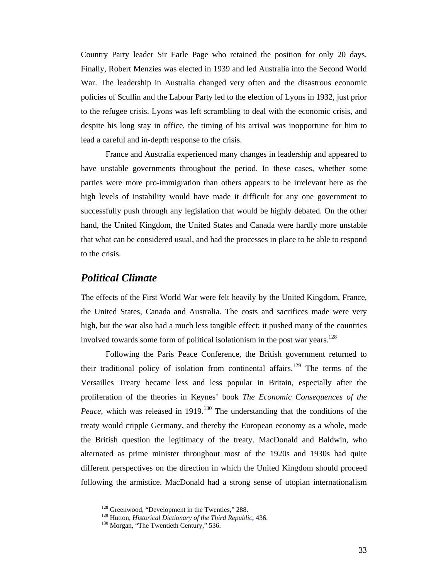Country Party leader Sir Earle Page who retained the position for only 20 days. Finally, Robert Menzies was elected in 1939 and led Australia into the Second World War. The leadership in Australia changed very often and the disastrous economic policies of Scullin and the Labour Party led to the election of Lyons in 1932, just prior to the refugee crisis. Lyons was left scrambling to deal with the economic crisis, and despite his long stay in office, the timing of his arrival was inopportune for him to lead a careful and in-depth response to the crisis.

France and Australia experienced many changes in leadership and appeared to have unstable governments throughout the period. In these cases, whether some parties were more pro-immigration than others appears to be irrelevant here as the high levels of instability would have made it difficult for any one government to successfully push through any legislation that would be highly debated. On the other hand, the United Kingdom, the United States and Canada were hardly more unstable that what can be considered usual, and had the processes in place to be able to respond to the crisis.

#### *Political Climate*

The effects of the First World War were felt heavily by the United Kingdom, France, the United States, Canada and Australia. The costs and sacrifices made were very high, but the war also had a much less tangible effect: it pushed many of the countries involved towards some form of political isolationism in the post war years.<sup>128</sup>

Following the Paris Peace Conference, the British government returned to their traditional policy of isolation from continental affairs.<sup>129</sup> The terms of the Versailles Treaty became less and less popular in Britain, especially after the proliferation of the theories in Keynes' book *The Economic Consequences of the Peace*, which was released in 1919.<sup>130</sup> The understanding that the conditions of the treaty would cripple Germany, and thereby the European economy as a whole, made the British question the legitimacy of the treaty. MacDonald and Baldwin, who alternated as prime minister throughout most of the 1920s and 1930s had quite different perspectives on the direction in which the United Kingdom should proceed following the armistice. MacDonald had a strong sense of utopian internationalism

<sup>&</sup>lt;sup>128</sup> Greenwood, "Development in the Twenties," 288.<br><sup>129</sup> Hutton, *Historical Dictionary of the Third Republic*, 436.<br><sup>130</sup> Morgan, "The Twentieth Century," 536.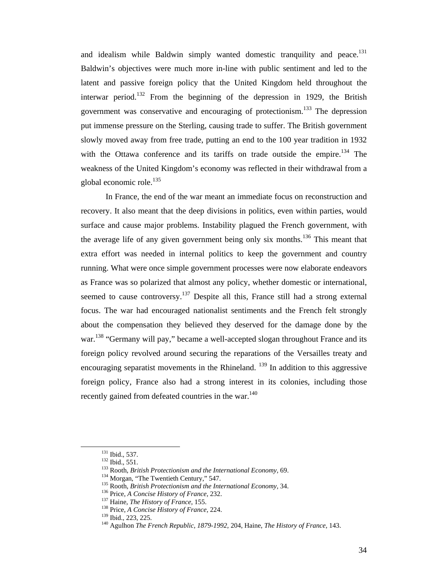and idealism while Baldwin simply wanted domestic tranquility and peace.<sup>131</sup> Baldwin's objectives were much more in-line with public sentiment and led to the latent and passive foreign policy that the United Kingdom held throughout the interwar period.<sup>132</sup> From the beginning of the depression in 1929, the British government was conservative and encouraging of protectionism.133 The depression put immense pressure on the Sterling, causing trade to suffer. The British government slowly moved away from free trade, putting an end to the 100 year tradition in 1932 with the Ottawa conference and its tariffs on trade outside the empire.<sup>134</sup> The weakness of the United Kingdom's economy was reflected in their withdrawal from a global economic role.<sup>135</sup>

In France, the end of the war meant an immediate focus on reconstruction and recovery. It also meant that the deep divisions in politics, even within parties, would surface and cause major problems. Instability plagued the French government, with the average life of any given government being only six months.<sup>136</sup> This meant that extra effort was needed in internal politics to keep the government and country running. What were once simple government processes were now elaborate endeavors as France was so polarized that almost any policy, whether domestic or international, seemed to cause controversy.<sup>137</sup> Despite all this, France still had a strong external focus. The war had encouraged nationalist sentiments and the French felt strongly about the compensation they believed they deserved for the damage done by the war.<sup>138</sup> "Germany will pay," became a well-accepted slogan throughout France and its foreign policy revolved around securing the reparations of the Versailles treaty and encouraging separatist movements in the Rhineland.  $^{139}$  In addition to this aggressive foreign policy, France also had a strong interest in its colonies, including those recently gained from defeated countries in the war.<sup>140</sup>

<sup>&</sup>lt;sup>131</sup> Ibid., 537.<br><sup>132</sup> Ibid., 551.<br><sup>133</sup> Rooth, *British Protectionism and the International Economy*, 69.<br><sup>134</sup> Morgan, "The Twentieth Century," 547.<br><sup>135</sup> Rooth, *British Protectionism and the International Economy*, 3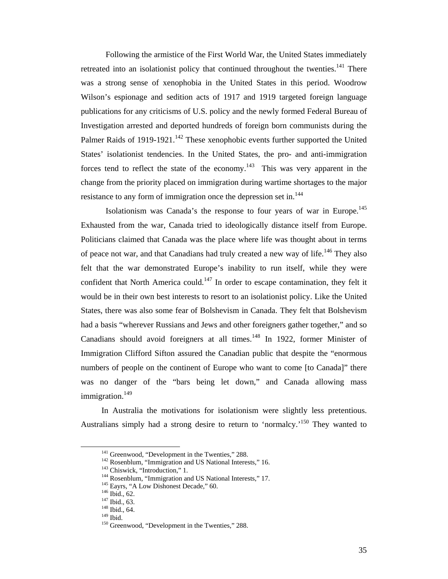Following the armistice of the First World War, the United States immediately retreated into an isolationist policy that continued throughout the twenties. $141$  There was a strong sense of xenophobia in the United States in this period. Woodrow Wilson's espionage and sedition acts of 1917 and 1919 targeted foreign language publications for any criticisms of U.S. policy and the newly formed Federal Bureau of Investigation arrested and deported hundreds of foreign born communists during the Palmer Raids of 1919-1921.<sup>142</sup> These xenophobic events further supported the United States' isolationist tendencies. In the United States, the pro- and anti-immigration forces tend to reflect the state of the economy.<sup>143</sup> This was very apparent in the change from the priority placed on immigration during wartime shortages to the major resistance to any form of immigration once the depression set in.<sup>144</sup>

Isolationism was Canada's the response to four years of war in Europe.<sup>145</sup> Exhausted from the war, Canada tried to ideologically distance itself from Europe. Politicians claimed that Canada was the place where life was thought about in terms of peace not war, and that Canadians had truly created a new way of life.<sup>146</sup> They also felt that the war demonstrated Europe's inability to run itself, while they were confident that North America could.<sup>147</sup> In order to escape contamination, they felt it would be in their own best interests to resort to an isolationist policy. Like the United States, there was also some fear of Bolshevism in Canada. They felt that Bolshevism had a basis "wherever Russians and Jews and other foreigners gather together," and so Canadians should avoid foreigners at all times. $148$  In 1922, former Minister of Immigration Clifford Sifton assured the Canadian public that despite the "enormous numbers of people on the continent of Europe who want to come [to Canada]" there was no danger of the "bars being let down," and Canada allowing mass immigration.<sup>149</sup>

In Australia the motivations for isolationism were slightly less pretentious. Australians simply had a strong desire to return to 'normalcy.<sup>150</sup> They wanted to

<sup>&</sup>lt;sup>141</sup> Greenwood, "Development in the Twenties," 288.<br>
<sup>142</sup> Rosenblum, "Immigration and US National Interests," 16.<br>
<sup>143</sup> Chiswick, "Introduction," 1.<br>
<sup>144</sup> Rosenblum, "Immigration and US National Interests," 17.<br>
<sup>145</sup>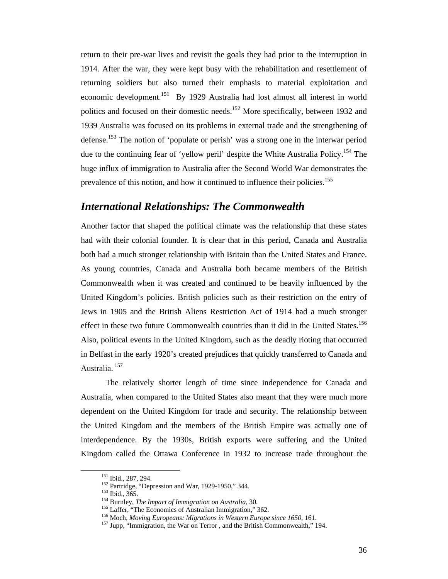return to their pre-war lives and revisit the goals they had prior to the interruption in 1914. After the war, they were kept busy with the rehabilitation and resettlement of returning soldiers but also turned their emphasis to material exploitation and economic development.<sup>151</sup> By 1929 Australia had lost almost all interest in world politics and focused on their domestic needs.<sup>152</sup> More specifically, between 1932 and 1939 Australia was focused on its problems in external trade and the strengthening of defense.<sup>153</sup> The notion of 'populate or perish' was a strong one in the interwar period due to the continuing fear of 'yellow peril' despite the White Australia Policy.<sup>154</sup> The huge influx of immigration to Australia after the Second World War demonstrates the prevalence of this notion, and how it continued to influence their policies.<sup>155</sup>

### *International Relationships: The Commonwealth*

Another factor that shaped the political climate was the relationship that these states had with their colonial founder. It is clear that in this period, Canada and Australia both had a much stronger relationship with Britain than the United States and France. As young countries, Canada and Australia both became members of the British Commonwealth when it was created and continued to be heavily influenced by the United Kingdom's policies. British policies such as their restriction on the entry of Jews in 1905 and the British Aliens Restriction Act of 1914 had a much stronger effect in these two future Commonwealth countries than it did in the United States.<sup>156</sup> Also, political events in the United Kingdom, such as the deadly rioting that occurred in Belfast in the early 1920's created prejudices that quickly transferred to Canada and Australia. 157

 The relatively shorter length of time since independence for Canada and Australia, when compared to the United States also meant that they were much more dependent on the United Kingdom for trade and security. The relationship between the United Kingdom and the members of the British Empire was actually one of interdependence. By the 1930s, British exports were suffering and the United Kingdom called the Ottawa Conference in 1932 to increase trade throughout the

<sup>&</sup>lt;sup>151</sup> Ibid., 287, 294.<br>
<sup>152</sup> Partridge, "Depression and War, 1929-1950," 344.<br>
<sup>153</sup> Ibid., 365.<br>
<sup>153</sup> Laffer, "The *Impact of Immigration on Australia*, 30.<br>
<sup>155</sup> Laffer, "The Economics of Australian Immigration," 362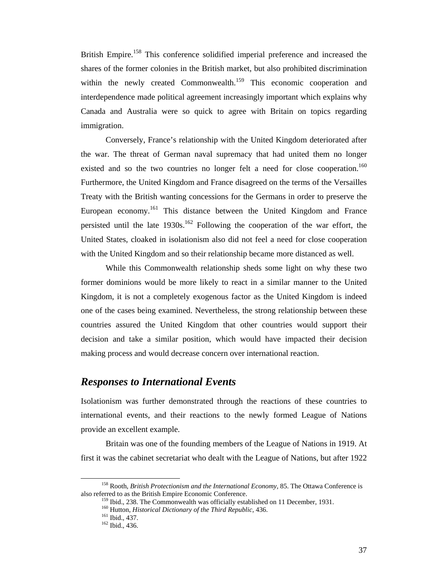British Empire.<sup>158</sup> This conference solidified imperial preference and increased the shares of the former colonies in the British market, but also prohibited discrimination within the newly created Commonwealth.<sup>159</sup> This economic cooperation and interdependence made political agreement increasingly important which explains why Canada and Australia were so quick to agree with Britain on topics regarding immigration.

Conversely, France's relationship with the United Kingdom deteriorated after the war. The threat of German naval supremacy that had united them no longer existed and so the two countries no longer felt a need for close cooperation.<sup>160</sup> Furthermore, the United Kingdom and France disagreed on the terms of the Versailles Treaty with the British wanting concessions for the Germans in order to preserve the European economy.<sup>161</sup> This distance between the United Kingdom and France persisted until the late  $1930s$ .<sup>162</sup> Following the cooperation of the war effort, the United States, cloaked in isolationism also did not feel a need for close cooperation with the United Kingdom and so their relationship became more distanced as well.

 While this Commonwealth relationship sheds some light on why these two former dominions would be more likely to react in a similar manner to the United Kingdom, it is not a completely exogenous factor as the United Kingdom is indeed one of the cases being examined. Nevertheless, the strong relationship between these countries assured the United Kingdom that other countries would support their decision and take a similar position, which would have impacted their decision making process and would decrease concern over international reaction.

### *Responses to International Events*

Isolationism was further demonstrated through the reactions of these countries to international events, and their reactions to the newly formed League of Nations provide an excellent example.

Britain was one of the founding members of the League of Nations in 1919. At first it was the cabinet secretariat who dealt with the League of Nations, but after 1922

<sup>&</sup>lt;sup>158</sup> Rooth, *British Protectionism and the International Economy*, 85. The Ottawa Conference is also referred to as the British Empire Economic Conference.

<sup>&</sup>lt;sup>159</sup> Ibid., 238. The Commonwealth was officially established on 11 December, 1931.<br><sup>160</sup> Hutton, *Historical Dictionary of the Third Republic*, 436.<br><sup>161</sup> Ibid., 437.<br><sup>162</sup> Ibid., 436.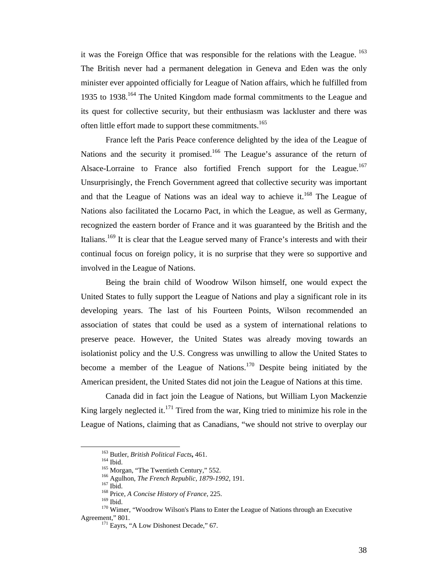it was the Foreign Office that was responsible for the relations with the League. <sup>163</sup> The British never had a permanent delegation in Geneva and Eden was the only minister ever appointed officially for League of Nation affairs, which he fulfilled from 1935 to 1938.<sup>164</sup> The United Kingdom made formal commitments to the League and its quest for collective security, but their enthusiasm was lackluster and there was often little effort made to support these commitments.<sup>165</sup>

France left the Paris Peace conference delighted by the idea of the League of Nations and the security it promised.<sup>166</sup> The League's assurance of the return of Alsace-Lorraine to France also fortified French support for the League.<sup>167</sup> Unsurprisingly, the French Government agreed that collective security was important and that the League of Nations was an ideal way to achieve it.<sup>168</sup> The League of Nations also facilitated the Locarno Pact, in which the League, as well as Germany, recognized the eastern border of France and it was guaranteed by the British and the Italians.<sup>169</sup> It is clear that the League served many of France's interests and with their continual focus on foreign policy, it is no surprise that they were so supportive and involved in the League of Nations.

Being the brain child of Woodrow Wilson himself, one would expect the United States to fully support the League of Nations and play a significant role in its developing years. The last of his Fourteen Points, Wilson recommended an association of states that could be used as a system of international relations to preserve peace. However, the United States was already moving towards an isolationist policy and the U.S. Congress was unwilling to allow the United States to become a member of the League of Nations.<sup>170</sup> Despite being initiated by the American president, the United States did not join the League of Nations at this time.

Canada did in fact join the League of Nations, but William Lyon Mackenzie King largely neglected it.<sup>171</sup> Tired from the war, King tried to minimize his role in the League of Nations, claiming that as Canadians, "we should not strive to overplay our

<sup>&</sup>lt;sup>163</sup> Butler, *British Political Facts*, 461.<br><sup>164</sup> Ibid.<br><sup>165</sup> Morgan, "The Twentieth Century," 552.<br><sup>166</sup> Agulhon, *The French Republic*, 1879-1992, 191.<br><sup>167</sup> Ibid.<br><sup>168</sup> Price, *A Concise History of France*, 225.<br><sup>169</sup> Agreement," 801.<br><sup>171</sup> Eayrs, "A Low Dishonest Decade," 67.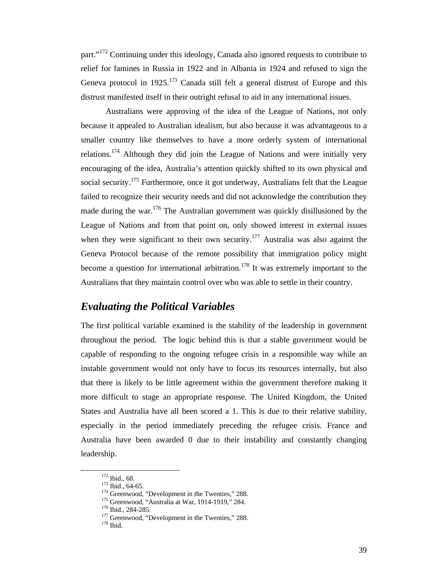part."<sup>172</sup> Continuing under this ideology, Canada also ignored requests to contribute to relief for famines in Russia in 1922 and in Albania in 1924 and refused to sign the Geneva protocol in  $1925$ <sup>173</sup> Canada still felt a general distrust of Europe and this distrust manifested itself in their outright refusal to aid in any international issues.

Australians were approving of the idea of the League of Nations, not only because it appealed to Australian idealism, but also because it was advantageous to a smaller country like themselves to have a more orderly system of international relations.<sup>174</sup> Although they did join the League of Nations and were initially very encouraging of the idea, Australia's attention quickly shifted to its own physical and social security.<sup>175</sup> Furthermore, once it got underway, Australians felt that the League failed to recognize their security needs and did not acknowledge the contribution they made during the war.<sup>176</sup> The Australian government was quickly disillusioned by the League of Nations and from that point on, only showed interest in external issues when they were significant to their own security.<sup>177</sup> Australia was also against the Geneva Protocol because of the remote possibility that immigration policy might become a question for international arbitration.<sup>178</sup> It was extremely important to the Australians that they maintain control over who was able to settle in their country.

### *Evaluating the Political Variables*

The first political variable examined is the stability of the leadership in government throughout the period. The logic behind this is that a stable government would be capable of responding to the ongoing refugee crisis in a responsible way while an instable government would not only have to focus its resources internally, but also that there is likely to be little agreement within the government therefore making it more difficult to stage an appropriate response. The United Kingdom, the United States and Australia have all been scored a 1. This is due to their relative stability, especially in the period immediately preceding the refugee crisis. France and Australia have been awarded 0 due to their instability and constantly changing leadership.

<sup>&</sup>lt;sup>172</sup> Ibid., 68.<br><sup>173</sup> Ibid., 64-65.<br><sup>174</sup> Greenwood, "Development in the Twenties," 288.<br><sup>175</sup> Greenwood, "Australia at War, 1914-1919," 284.<br><sup>176</sup> Ibid., 284-285.<br><sup>177</sup> Greenwood, "Development in the Twenties," 288.<br><sup>17</sup>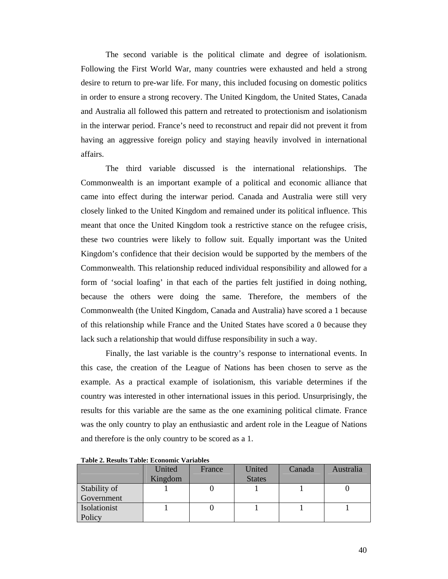The second variable is the political climate and degree of isolationism. Following the First World War, many countries were exhausted and held a strong desire to return to pre-war life. For many, this included focusing on domestic politics in order to ensure a strong recovery. The United Kingdom, the United States, Canada and Australia all followed this pattern and retreated to protectionism and isolationism in the interwar period. France's need to reconstruct and repair did not prevent it from having an aggressive foreign policy and staying heavily involved in international affairs.

 The third variable discussed is the international relationships. The Commonwealth is an important example of a political and economic alliance that came into effect during the interwar period. Canada and Australia were still very closely linked to the United Kingdom and remained under its political influence. This meant that once the United Kingdom took a restrictive stance on the refugee crisis, these two countries were likely to follow suit. Equally important was the United Kingdom's confidence that their decision would be supported by the members of the Commonwealth. This relationship reduced individual responsibility and allowed for a form of 'social loafing' in that each of the parties felt justified in doing nothing, because the others were doing the same. Therefore, the members of the Commonwealth (the United Kingdom, Canada and Australia) have scored a 1 because of this relationship while France and the United States have scored a 0 because they lack such a relationship that would diffuse responsibility in such a way.

 Finally, the last variable is the country's response to international events. In this case, the creation of the League of Nations has been chosen to serve as the example. As a practical example of isolationism, this variable determines if the country was interested in other international issues in this period. Unsurprisingly, the results for this variable are the same as the one examining political climate. France was the only country to play an enthusiastic and ardent role in the League of Nations and therefore is the only country to be scored as a 1.

|              | United  | France | United        | Canada | Australia |
|--------------|---------|--------|---------------|--------|-----------|
|              | Kingdom |        | <b>States</b> |        |           |
| Stability of |         |        |               |        |           |
| Government   |         |        |               |        |           |
| Isolationist |         |        |               |        |           |
| Policy       |         |        |               |        |           |

**Table 2. Results Table: Economic Variables**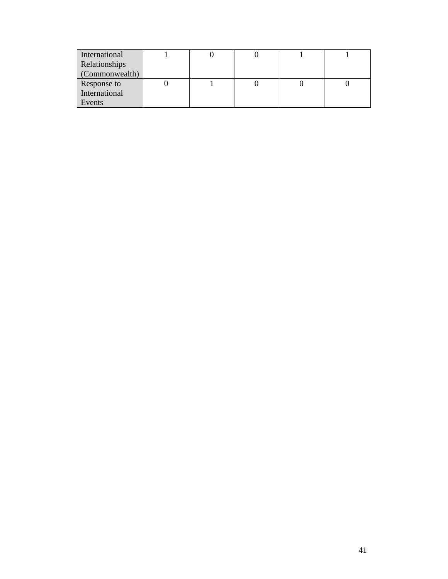| International  |  |  |  |
|----------------|--|--|--|
| Relationships  |  |  |  |
| (Commonwealth) |  |  |  |
| Response to    |  |  |  |
| International  |  |  |  |
| Events         |  |  |  |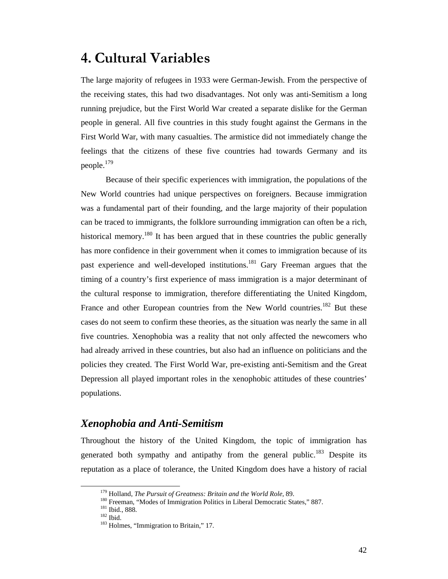# **4. Cultural Variables**

The large majority of refugees in 1933 were German-Jewish. From the perspective of the receiving states, this had two disadvantages. Not only was anti-Semitism a long running prejudice, but the First World War created a separate dislike for the German people in general. All five countries in this study fought against the Germans in the First World War, with many casualties. The armistice did not immediately change the feelings that the citizens of these five countries had towards Germany and its people.<sup>179</sup>

Because of their specific experiences with immigration, the populations of the New World countries had unique perspectives on foreigners. Because immigration was a fundamental part of their founding, and the large majority of their population can be traced to immigrants, the folklore surrounding immigration can often be a rich, historical memory.<sup>180</sup> It has been argued that in these countries the public generally has more confidence in their government when it comes to immigration because of its past experience and well-developed institutions.<sup>181</sup> Gary Freeman argues that the timing of a country's first experience of mass immigration is a major determinant of the cultural response to immigration, therefore differentiating the United Kingdom, France and other European countries from the New World countries.<sup>182</sup> But these cases do not seem to confirm these theories, as the situation was nearly the same in all five countries. Xenophobia was a reality that not only affected the newcomers who had already arrived in these countries, but also had an influence on politicians and the policies they created. The First World War, pre-existing anti-Semitism and the Great Depression all played important roles in the xenophobic attitudes of these countries' populations.

## *Xenophobia and Anti-Semitism*

Throughout the history of the United Kingdom, the topic of immigration has generated both sympathy and antipathy from the general public.<sup>183</sup> Despite its reputation as a place of tolerance, the United Kingdom does have a history of racial

<sup>&</sup>lt;sup>179</sup> Holland, *The Pursuit of Greatness: Britain and the World Role*, 89.<br><sup>180</sup> Freeman, "Modes of Immigration Politics in Liberal Democratic States," 887.<br><sup>181</sup> Ibid., 888.<br><sup>182</sup> Ibid.<br><sup>183</sup> Holmes, "Immigration to Brit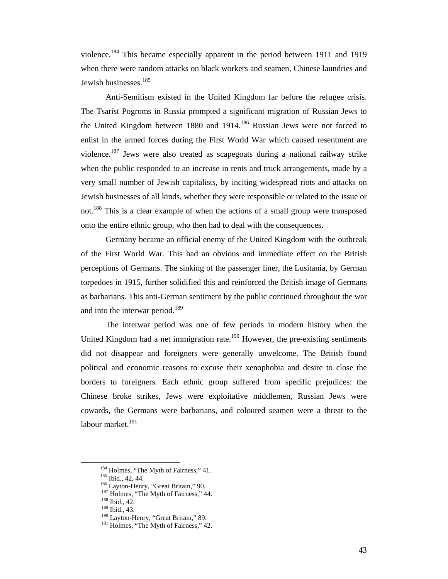violence.184 This became especially apparent in the period between 1911 and 1919 when there were random attacks on black workers and seamen, Chinese laundries and Jewish businesses.<sup>185</sup>

Anti-Semitism existed in the United Kingdom far before the refugee crisis. The Tsarist Pogroms in Russia prompted a significant migration of Russian Jews to the United Kingdom between 1880 and 1914.<sup>186</sup> Russian Jews were not forced to enlist in the armed forces during the First World War which caused resentment are violence.187 Jews were also treated as scapegoats during a national railway strike when the public responded to an increase in rents and truck arrangements, made by a very small number of Jewish capitalists, by inciting widespread riots and attacks on Jewish businesses of all kinds, whether they were responsible or related to the issue or not.<sup>188</sup> This is a clear example of when the actions of a small group were transposed onto the entire ethnic group, who then had to deal with the consequences.

Germany became an official enemy of the United Kingdom with the outbreak of the First World War. This had an obvious and immediate effect on the British perceptions of Germans. The sinking of the passenger liner, the Lusitania, by German torpedoes in 1915, further solidified this and reinforced the British image of Germans as barbarians. This anti-German sentiment by the public continued throughout the war and into the interwar period.<sup>189</sup>

The interwar period was one of few periods in modern history when the United Kingdom had a net immigration rate.<sup>190</sup> However, the pre-existing sentiments did not disappear and foreigners were generally unwelcome. The British found political and economic reasons to excuse their xenophobia and desire to close the borders to foreigners. Each ethnic group suffered from specific prejudices: the Chinese broke strikes, Jews were exploitative middlemen, Russian Jews were cowards, the Germans were barbarians, and coloured seamen were a threat to the labour market.<sup>191</sup>

<sup>&</sup>lt;sup>184</sup> Holmes, "The Myth of Fairness," 41.<br>
<sup>185</sup> Ibid., 42, 44.<br>
<sup>186</sup> Layton-Henry, "Great Britain," 90.<br>
<sup>187</sup> Holmes, "The Myth of Fairness," 44.<br>
<sup>188</sup> Ibid., 42.<br>
<sup>189</sup> Ibid., 43.<br>
<sup>190</sup> Layton-Henry, "Great Britain,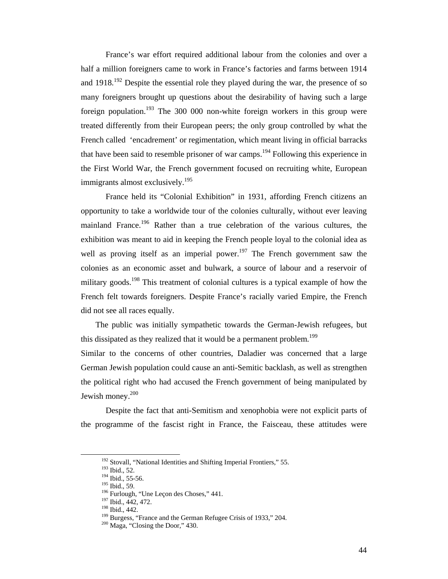France's war effort required additional labour from the colonies and over a half a million foreigners came to work in France's factories and farms between 1914 and  $1918$ <sup>192</sup> Despite the essential role they played during the war, the presence of so many foreigners brought up questions about the desirability of having such a large foreign population.<sup>193</sup> The 300 000 non-white foreign workers in this group were treated differently from their European peers; the only group controlled by what the French called 'encadrement' or regimentation, which meant living in official barracks that have been said to resemble prisoner of war camps.<sup>194</sup> Following this experience in the First World War, the French government focused on recruiting white, European immigrants almost exclusively.<sup>195</sup>

France held its "Colonial Exhibition" in 1931, affording French citizens an opportunity to take a worldwide tour of the colonies culturally, without ever leaving mainland France.196 Rather than a true celebration of the various cultures, the exhibition was meant to aid in keeping the French people loyal to the colonial idea as well as proving itself as an imperial power.<sup>197</sup> The French government saw the colonies as an economic asset and bulwark, a source of labour and a reservoir of military goods.<sup>198</sup> This treatment of colonial cultures is a typical example of how the French felt towards foreigners. Despite France's racially varied Empire, the French did not see all races equally.

The public was initially sympathetic towards the German-Jewish refugees, but this dissipated as they realized that it would be a permanent problem.<sup>199</sup>

Similar to the concerns of other countries, Daladier was concerned that a large German Jewish population could cause an anti-Semitic backlash, as well as strengthen the political right who had accused the French government of being manipulated by Jewish money.<sup>200</sup>

Despite the fact that anti-Semitism and xenophobia were not explicit parts of the programme of the fascist right in France, the Faisceau, these attitudes were

<sup>&</sup>lt;sup>192</sup> Stovall, "National Identities and Shifting Imperial Frontiers," 55.<br><sup>193</sup> Ibid., 52.<br><sup>194</sup> Ibid., 55-56.<br><sup>195</sup> Ibid., 59.<br><sup>196</sup> Furlough, "Une Leçon des Choses," 441.<br><sup>197</sup> Ibid., 442, 472.<br><sup>198</sup> Burgess, "France an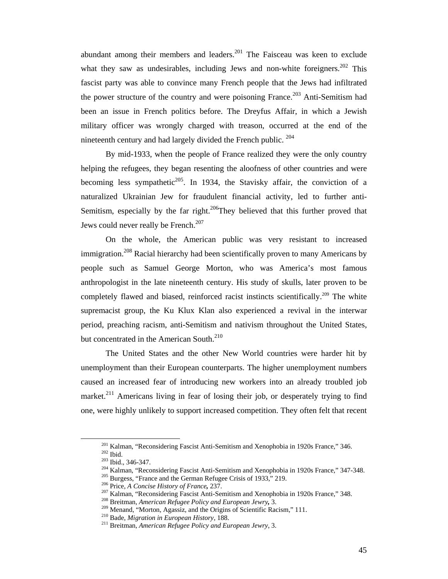abundant among their members and leaders.<sup>201</sup> The Faisceau was keen to exclude what they saw as undesirables, including Jews and non-white foreigners. $202$  This fascist party was able to convince many French people that the Jews had infiltrated the power structure of the country and were poisoning France.<sup>203</sup> Anti-Semitism had been an issue in French politics before. The Dreyfus Affair, in which a Jewish military officer was wrongly charged with treason, occurred at the end of the nineteenth century and had largely divided the French public.<sup>204</sup>

 By mid-1933, when the people of France realized they were the only country helping the refugees, they began resenting the aloofness of other countries and were becoming less sympathetic<sup>205</sup>. In 1934, the Stavisky affair, the conviction of a naturalized Ukrainian Jew for fraudulent financial activity, led to further anti-Semitism, especially by the far right.<sup>206</sup>They believed that this further proved that Jews could never really be French.<sup>207</sup>

On the whole, the American public was very resistant to increased immigration.<sup>208</sup> Racial hierarchy had been scientifically proven to many Americans by people such as Samuel George Morton, who was America's most famous anthropologist in the late nineteenth century. His study of skulls, later proven to be completely flawed and biased, reinforced racist instincts scientifically.<sup>209</sup> The white supremacist group, the Ku Klux Klan also experienced a revival in the interwar period, preaching racism, anti-Semitism and nativism throughout the United States, but concentrated in the American South.<sup>210</sup>

The United States and the other New World countries were harder hit by unemployment than their European counterparts. The higher unemployment numbers caused an increased fear of introducing new workers into an already troubled job market.<sup>211</sup> Americans living in fear of losing their job, or desperately trying to find one, were highly unlikely to support increased competition. They often felt that recent

<sup>&</sup>lt;sup>201</sup> Kalman, "Reconsidering Fascist Anti-Semitism and Xenophobia in 1920s France," 346.<br><sup>202</sup> Ibid., 346-347.<br><sup>203</sup> Ibid., 346-347.<br><sup>203</sup> Kalman, "Reconsidering Fascist Anti-Semitism and Xenophobia in 1920s France," 347-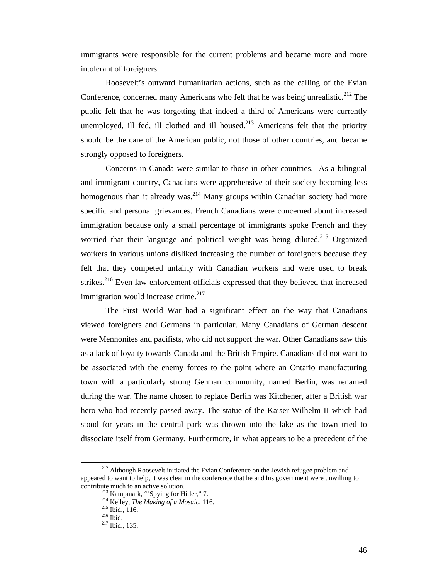immigrants were responsible for the current problems and became more and more intolerant of foreigners.

 Roosevelt's outward humanitarian actions, such as the calling of the Evian Conference, concerned many Americans who felt that he was being unrealistic.<sup>212</sup> The public felt that he was forgetting that indeed a third of Americans were currently unemployed, ill fed, ill clothed and ill housed.<sup>213</sup> Americans felt that the priority should be the care of the American public, not those of other countries, and became strongly opposed to foreigners.

Concerns in Canada were similar to those in other countries. As a bilingual and immigrant country, Canadians were apprehensive of their society becoming less homogenous than it already was.<sup>214</sup> Many groups within Canadian society had more specific and personal grievances. French Canadians were concerned about increased immigration because only a small percentage of immigrants spoke French and they worried that their language and political weight was being diluted.<sup>215</sup> Organized workers in various unions disliked increasing the number of foreigners because they felt that they competed unfairly with Canadian workers and were used to break strikes.<sup>216</sup> Even law enforcement officials expressed that they believed that increased immigration would increase crime. $217$ 

The First World War had a significant effect on the way that Canadians viewed foreigners and Germans in particular. Many Canadians of German descent were Mennonites and pacifists, who did not support the war. Other Canadians saw this as a lack of loyalty towards Canada and the British Empire. Canadians did not want to be associated with the enemy forces to the point where an Ontario manufacturing town with a particularly strong German community, named Berlin, was renamed during the war. The name chosen to replace Berlin was Kitchener, after a British war hero who had recently passed away. The statue of the Kaiser Wilhelm II which had stood for years in the central park was thrown into the lake as the town tried to dissociate itself from Germany. Furthermore, in what appears to be a precedent of the

<sup>&</sup>lt;sup>212</sup> Although Roosevelt initiated the Evian Conference on the Jewish refugee problem and appeared to want to help, it was clear in the conference that he and his government were unwilling to contribute much to an active solution.<br><sup>213</sup> Kampmark, "'Spying for Hitler," 7.<br><sup>214</sup> Kelley, *The Making of a Mosaic*, 116.<br><sup>215</sup> Ibid., 116.<br><sup>216</sup> Ibid., 135.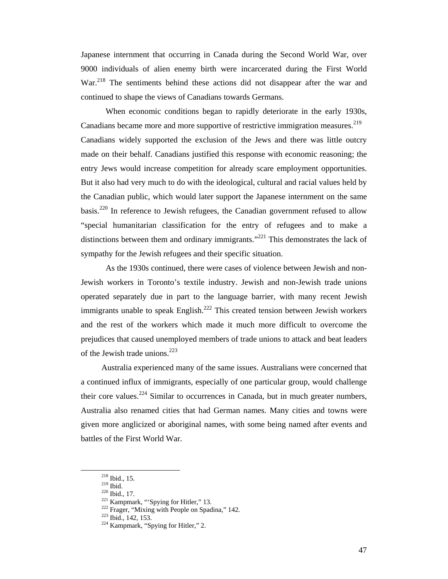Japanese internment that occurring in Canada during the Second World War, over 9000 individuals of alien enemy birth were incarcerated during the First World War.<sup>218</sup> The sentiments behind these actions did not disappear after the war and continued to shape the views of Canadians towards Germans.

 When economic conditions began to rapidly deteriorate in the early 1930s, Canadians became more and more supportive of restrictive immigration measures.<sup>219</sup> Canadians widely supported the exclusion of the Jews and there was little outcry made on their behalf. Canadians justified this response with economic reasoning; the entry Jews would increase competition for already scare employment opportunities. But it also had very much to do with the ideological, cultural and racial values held by the Canadian public, which would later support the Japanese internment on the same basis.<sup>220</sup> In reference to Jewish refugees, the Canadian government refused to allow "special humanitarian classification for the entry of refugees and to make a distinctions between them and ordinary immigrants."<sup>221</sup> This demonstrates the lack of sympathy for the Jewish refugees and their specific situation.

 As the 1930s continued, there were cases of violence between Jewish and non-Jewish workers in Toronto's textile industry. Jewish and non-Jewish trade unions operated separately due in part to the language barrier, with many recent Jewish immigrants unable to speak English.<sup>222</sup> This created tension between Jewish workers and the rest of the workers which made it much more difficult to overcome the prejudices that caused unemployed members of trade unions to attack and beat leaders of the Jewish trade unions.<sup>223</sup>

Australia experienced many of the same issues. Australians were concerned that a continued influx of immigrants, especially of one particular group, would challenge their core values.<sup>224</sup> Similar to occurrences in Canada, but in much greater numbers, Australia also renamed cities that had German names. Many cities and towns were given more anglicized or aboriginal names, with some being named after events and battles of the First World War.

<sup>&</sup>lt;sup>218</sup> Ibid., 15.<br><sup>220</sup> Ibid., 17.<br><sup>221</sup> Kampmark, "'Spying for Hitler," 13.<br><sup>222</sup> Frager, "Mixing with People on Spadina," 142.<br><sup>223</sup> Ibid., 142, 153.<br><sup>224</sup> Kampmark, "Spying for Hitler," 2.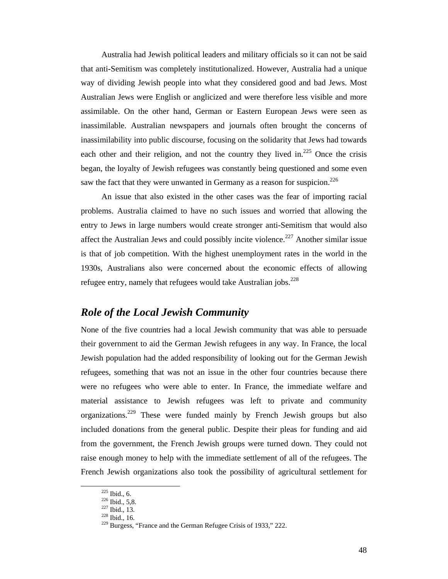Australia had Jewish political leaders and military officials so it can not be said that anti-Semitism was completely institutionalized. However, Australia had a unique way of dividing Jewish people into what they considered good and bad Jews. Most Australian Jews were English or anglicized and were therefore less visible and more assimilable. On the other hand, German or Eastern European Jews were seen as inassimilable. Australian newspapers and journals often brought the concerns of inassimilability into public discourse, focusing on the solidarity that Jews had towards each other and their religion, and not the country they lived in.<sup>225</sup> Once the crisis began, the loyalty of Jewish refugees was constantly being questioned and some even saw the fact that they were unwanted in Germany as a reason for suspicion.<sup>226</sup>

An issue that also existed in the other cases was the fear of importing racial problems. Australia claimed to have no such issues and worried that allowing the entry to Jews in large numbers would create stronger anti-Semitism that would also affect the Australian Jews and could possibly incite violence.<sup>227</sup> Another similar issue is that of job competition. With the highest unemployment rates in the world in the 1930s, Australians also were concerned about the economic effects of allowing refugee entry, namely that refugees would take Australian jobs.<sup>228</sup>

### *Role of the Local Jewish Community*

None of the five countries had a local Jewish community that was able to persuade their government to aid the German Jewish refugees in any way. In France, the local Jewish population had the added responsibility of looking out for the German Jewish refugees, something that was not an issue in the other four countries because there were no refugees who were able to enter. In France, the immediate welfare and material assistance to Jewish refugees was left to private and community organizations.<sup>229</sup> These were funded mainly by French Jewish groups but also included donations from the general public. Despite their pleas for funding and aid from the government, the French Jewish groups were turned down. They could not raise enough money to help with the immediate settlement of all of the refugees. The French Jewish organizations also took the possibility of agricultural settlement for

<sup>&</sup>lt;sup>225</sup> Ibid., 6.<br><sup>226</sup> Ibid., 5,8.<br><sup>227</sup> Ibid., 13.<br><sup>228</sup> Ibid., 16.<br><sup>229</sup> Burgess, "France and the German Refugee Crisis of 1933," 222.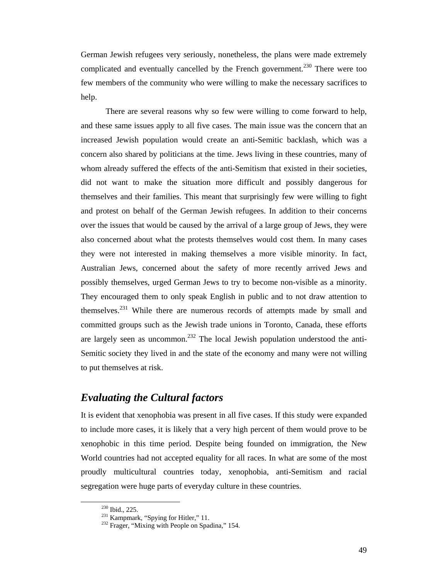German Jewish refugees very seriously, nonetheless, the plans were made extremely complicated and eventually cancelled by the French government.<sup>230</sup> There were too few members of the community who were willing to make the necessary sacrifices to help.

 There are several reasons why so few were willing to come forward to help, and these same issues apply to all five cases. The main issue was the concern that an increased Jewish population would create an anti-Semitic backlash, which was a concern also shared by politicians at the time. Jews living in these countries, many of whom already suffered the effects of the anti-Semitism that existed in their societies, did not want to make the situation more difficult and possibly dangerous for themselves and their families. This meant that surprisingly few were willing to fight and protest on behalf of the German Jewish refugees. In addition to their concerns over the issues that would be caused by the arrival of a large group of Jews, they were also concerned about what the protests themselves would cost them. In many cases they were not interested in making themselves a more visible minority. In fact, Australian Jews, concerned about the safety of more recently arrived Jews and possibly themselves, urged German Jews to try to become non-visible as a minority. They encouraged them to only speak English in public and to not draw attention to themselves.<sup>231</sup> While there are numerous records of attempts made by small and committed groups such as the Jewish trade unions in Toronto, Canada, these efforts are largely seen as uncommon.<sup>232</sup> The local Jewish population understood the anti-Semitic society they lived in and the state of the economy and many were not willing to put themselves at risk.

### *Evaluating the Cultural factors*

It is evident that xenophobia was present in all five cases. If this study were expanded to include more cases, it is likely that a very high percent of them would prove to be xenophobic in this time period. Despite being founded on immigration, the New World countries had not accepted equality for all races. In what are some of the most proudly multicultural countries today, xenophobia, anti-Semitism and racial segregation were huge parts of everyday culture in these countries.

<sup>&</sup>lt;sup>230</sup> Ibid., 225.<br><sup>231</sup> Kampmark, "Spying for Hitler," 11.<br><sup>232</sup> Frager, "Mixing with People on Spadina," 154.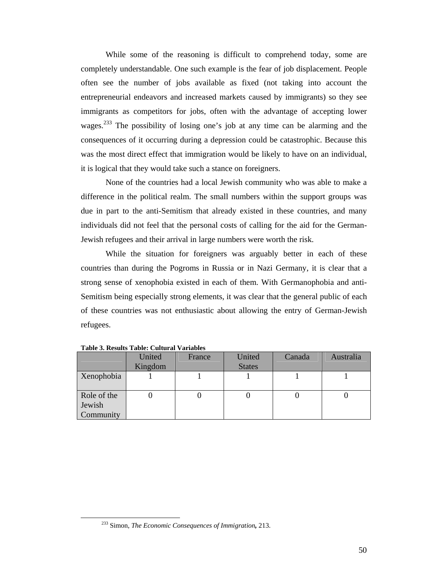While some of the reasoning is difficult to comprehend today, some are completely understandable. One such example is the fear of job displacement. People often see the number of jobs available as fixed (not taking into account the entrepreneurial endeavors and increased markets caused by immigrants) so they see immigrants as competitors for jobs, often with the advantage of accepting lower wages.<sup>233</sup> The possibility of losing one's job at any time can be alarming and the consequences of it occurring during a depression could be catastrophic. Because this was the most direct effect that immigration would be likely to have on an individual, it is logical that they would take such a stance on foreigners.

None of the countries had a local Jewish community who was able to make a difference in the political realm. The small numbers within the support groups was due in part to the anti-Semitism that already existed in these countries, and many individuals did not feel that the personal costs of calling for the aid for the German-Jewish refugees and their arrival in large numbers were worth the risk.

While the situation for foreigners was arguably better in each of these countries than during the Pogroms in Russia or in Nazi Germany, it is clear that a strong sense of xenophobia existed in each of them. With Germanophobia and anti-Semitism being especially strong elements, it was clear that the general public of each of these countries was not enthusiastic about allowing the entry of German-Jewish refugees.

|                                    | United<br>Kingdom | France | United<br><b>States</b> | Canada | Australia |
|------------------------------------|-------------------|--------|-------------------------|--------|-----------|
| Xenophobia                         |                   |        |                         |        |           |
| Role of the<br>Jewish<br>Community |                   |        |                         | U      |           |

**Table 3. Results Table: Cultural Variables** 

 <sup>233</sup> Simon, *The Economic Consequences of Immigration,* 213.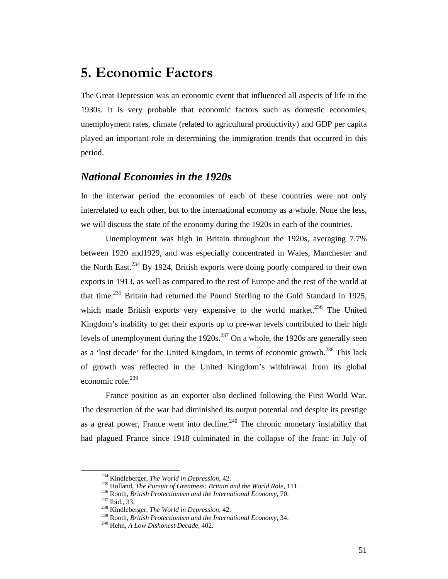# **5. Economic Factors**

The Great Depression was an economic event that influenced all aspects of life in the 1930s. It is very probable that economic factors such as domestic economies, unemployment rates, climate (related to agricultural productivity) and GDP per capita played an important role in determining the immigration trends that occurred in this period.

### *National Economies in the 1920s*

In the interwar period the economies of each of these countries were not only interrelated to each other, but to the international economy as a whole. None the less, we will discuss the state of the economy during the 1920s in each of the countries.

Unemployment was high in Britain throughout the 1920s, averaging 7.7% between 1920 and1929, and was especially concentrated in Wales, Manchester and the North East.<sup>234</sup> By 1924, British exports were doing poorly compared to their own exports in 1913, as well as compared to the rest of Europe and the rest of the world at that time.<sup>235</sup> Britain had returned the Pound Sterling to the Gold Standard in 1925, which made British exports very expensive to the world market.<sup>236</sup> The United Kingdom's inability to get their exports up to pre-war levels contributed to their high levels of unemployment during the  $1920s$ .<sup>237</sup> On a whole, the 1920s are generally seen as a 'lost decade' for the United Kingdom, in terms of economic growth.<sup>238</sup> This lack of growth was reflected in the United Kingdom's withdrawal from its global economic role.<sup>239</sup>

France position as an exporter also declined following the First World War. The destruction of the war had diminished its output potential and despite its prestige as a great power, France went into decline.<sup>240</sup> The chronic monetary instability that had plagued France since 1918 culminated in the collapse of the franc in July of

<sup>&</sup>lt;sup>234</sup> Kindleberger, *The World in Depression*, 42.<br><sup>235</sup> Holland, *The Pursuit of Greatness: Britain and the World Role*, 111.<br><sup>236</sup> Rooth, *British Protectionism and the International Economy*, 70.<br><sup>237</sup> Ibid., 33.<br><sup>238</sup>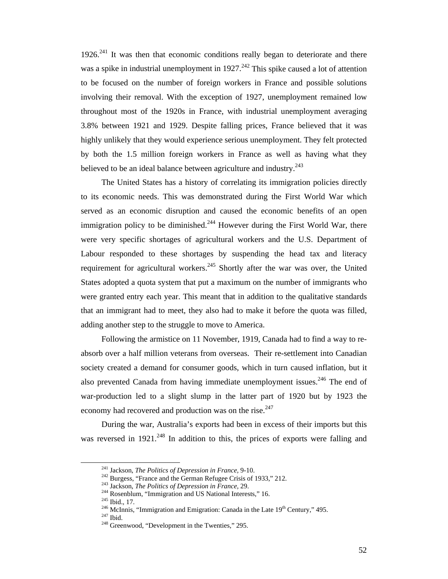$1926<sup>241</sup>$  It was then that economic conditions really began to deteriorate and there was a spike in industrial unemployment in 1927.<sup>242</sup> This spike caused a lot of attention to be focused on the number of foreign workers in France and possible solutions involving their removal. With the exception of 1927, unemployment remained low throughout most of the 1920s in France, with industrial unemployment averaging 3.8% between 1921 and 1929. Despite falling prices, France believed that it was highly unlikely that they would experience serious unemployment. They felt protected by both the 1.5 million foreign workers in France as well as having what they believed to be an ideal balance between agriculture and industry.<sup>243</sup>

The United States has a history of correlating its immigration policies directly to its economic needs. This was demonstrated during the First World War which served as an economic disruption and caused the economic benefits of an open immigration policy to be diminished.<sup>244</sup> However during the First World War, there were very specific shortages of agricultural workers and the U.S. Department of Labour responded to these shortages by suspending the head tax and literacy requirement for agricultural workers.<sup>245</sup> Shortly after the war was over, the United States adopted a quota system that put a maximum on the number of immigrants who were granted entry each year. This meant that in addition to the qualitative standards that an immigrant had to meet, they also had to make it before the quota was filled, adding another step to the struggle to move to America.

Following the armistice on 11 November, 1919, Canada had to find a way to reabsorb over a half million veterans from overseas. Their re-settlement into Canadian society created a demand for consumer goods, which in turn caused inflation, but it also prevented Canada from having immediate unemployment issues.<sup>246</sup> The end of war-production led to a slight slump in the latter part of 1920 but by 1923 the economy had recovered and production was on the rise.<sup>247</sup>

During the war, Australia's exports had been in excess of their imports but this was reversed in  $1921$ <sup>248</sup>. In addition to this, the prices of exports were falling and

<sup>&</sup>lt;sup>241</sup> Jackson, *The Politics of Depression in France*, 9-10.<br><sup>242</sup> Burgess, "France and the German Refugee Crisis of 1933," 212.<br><sup>243</sup> Jackson, *The Politics of Depression in France*, 29.<br><sup>244</sup> Rosenblum, "Immigration and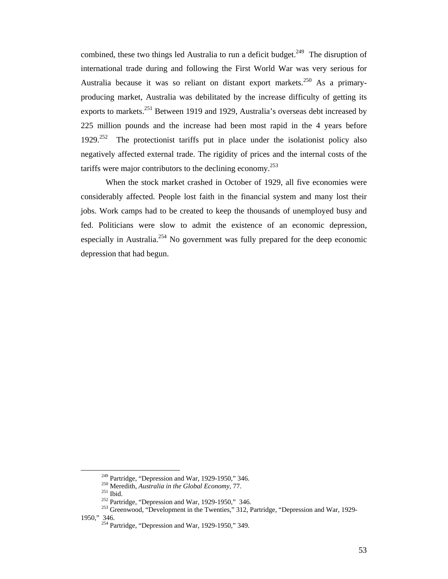combined, these two things led Australia to run a deficit budget.<sup>249</sup> The disruption of international trade during and following the First World War was very serious for Australia because it was so reliant on distant export markets.<sup>250</sup> As a primaryproducing market, Australia was debilitated by the increase difficulty of getting its exports to markets.<sup>251</sup> Between 1919 and 1929, Australia's overseas debt increased by 225 million pounds and the increase had been most rapid in the 4 years before  $1929.^{252}$  The protectionist tariffs put in place under the isolationist policy also negatively affected external trade. The rigidity of prices and the internal costs of the tariffs were major contributors to the declining economy.<sup>253</sup>

When the stock market crashed in October of 1929, all five economies were considerably affected. People lost faith in the financial system and many lost their jobs. Work camps had to be created to keep the thousands of unemployed busy and fed. Politicians were slow to admit the existence of an economic depression, especially in Australia.<sup>254</sup> No government was fully prepared for the deep economic depression that had begun.

<sup>&</sup>lt;sup>249</sup> Partridge, "Depression and War, 1929-1950," 346.<br>
<sup>250</sup> Meredith, *Australia in the Global Economy*, 77.<br>
<sup>251</sup> Ibid.<br>
<sup>252</sup> Partridge, "Depression and War, 1929-1950," 346.<br>
<sup>253</sup> Greenwood, "Development in the Twe 1950," 346. 254 Partridge, "Depression and War, 1929-1950," 349.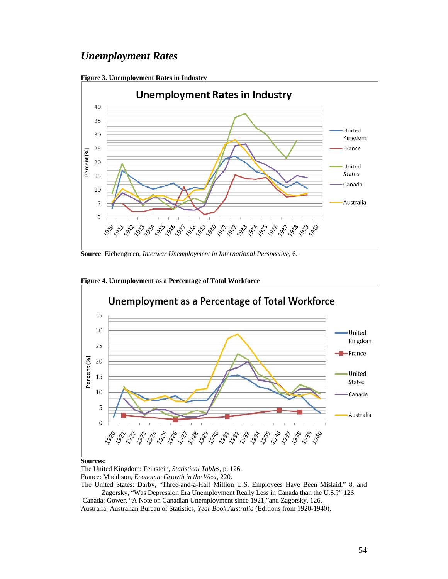## *Unemployment Rates*





**Source**: Eichengreen, *Interwar Unemployment in International Perspective*, 6.



**Figure 4. Unemployment as a Percentage of Total Workforce** 

#### **Sources:**

The United Kingdom: Feinstein, *Statistical Tables*, p. 126. France: Maddison, *Economic Growth in the West*, 220. The United States: Darby, "Three-and-a-Half Million U.S. Employees Have Been Mislaid," 8, and Zagorsky, "Was Depression Era Unemployment Really Less in Canada than the U.S.?" 126.

 Canada: Gower, "A Note on Canadian Unemployment since 1921,"and Zagorsky, 126. Australia: Australian Bureau of Statistics, *Year Book Australia* (Editions from 1920-1940).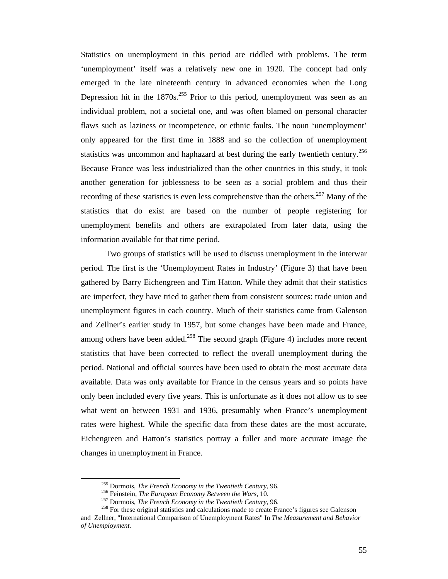Statistics on unemployment in this period are riddled with problems. The term 'unemployment' itself was a relatively new one in 1920. The concept had only emerged in the late nineteenth century in advanced economies when the Long Depression hit in the  $1870s^{255}$  Prior to this period, unemployment was seen as an individual problem, not a societal one, and was often blamed on personal character flaws such as laziness or incompetence, or ethnic faults. The noun 'unemployment' only appeared for the first time in 1888 and so the collection of unemployment statistics was uncommon and haphazard at best during the early twentieth century.<sup>256</sup> Because France was less industrialized than the other countries in this study, it took another generation for joblessness to be seen as a social problem and thus their recording of these statistics is even less comprehensive than the others.<sup>257</sup> Many of the statistics that do exist are based on the number of people registering for unemployment benefits and others are extrapolated from later data, using the information available for that time period.

Two groups of statistics will be used to discuss unemployment in the interwar period. The first is the 'Unemployment Rates in Industry' (Figure 3) that have been gathered by Barry Eichengreen and Tim Hatton. While they admit that their statistics are imperfect, they have tried to gather them from consistent sources: trade union and unemployment figures in each country. Much of their statistics came from Galenson and Zellner's earlier study in 1957, but some changes have been made and France, among others have been added.<sup>258</sup> The second graph (Figure 4) includes more recent statistics that have been corrected to reflect the overall unemployment during the period. National and official sources have been used to obtain the most accurate data available. Data was only available for France in the census years and so points have only been included every five years. This is unfortunate as it does not allow us to see what went on between 1931 and 1936, presumably when France's unemployment rates were highest. While the specific data from these dates are the most accurate, Eichengreen and Hatton's statistics portray a fuller and more accurate image the changes in unemployment in France.

<sup>&</sup>lt;sup>255</sup> Dormois, *The French Economy in the Twentieth Century*, 96.<br><sup>256</sup> Feinstein, *The European Economy Between the Wars*, 10.<br><sup>257</sup> Dormois, *The French Economy in the Twentieth Century*, 96.<br><sup>258</sup> For these original st

and Zellner, "International Comparison of Unemployment Rates" In *The Measurement and Behavior of Unemployment.*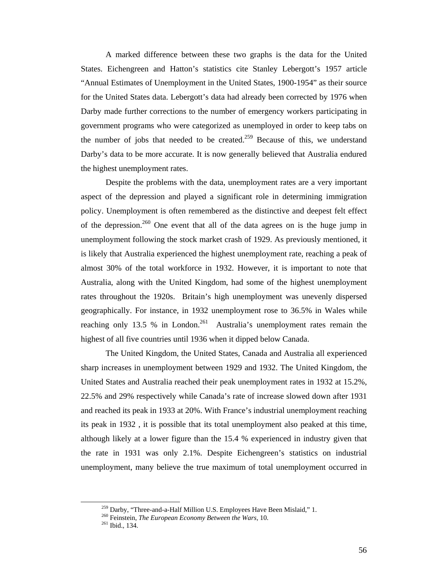A marked difference between these two graphs is the data for the United States. Eichengreen and Hatton's statistics cite Stanley Lebergott's 1957 article "Annual Estimates of Unemployment in the United States, 1900-1954" as their source for the United States data. Lebergott's data had already been corrected by 1976 when Darby made further corrections to the number of emergency workers participating in government programs who were categorized as unemployed in order to keep tabs on the number of jobs that needed to be created.<sup>259</sup> Because of this, we understand Darby's data to be more accurate. It is now generally believed that Australia endured the highest unemployment rates.

Despite the problems with the data, unemployment rates are a very important aspect of the depression and played a significant role in determining immigration policy. Unemployment is often remembered as the distinctive and deepest felt effect of the depression.<sup>260</sup> One event that all of the data agrees on is the huge jump in unemployment following the stock market crash of 1929. As previously mentioned, it is likely that Australia experienced the highest unemployment rate, reaching a peak of almost 30% of the total workforce in 1932. However, it is important to note that Australia, along with the United Kingdom, had some of the highest unemployment rates throughout the 1920s. Britain's high unemployment was unevenly dispersed geographically. For instance, in 1932 unemployment rose to 36.5% in Wales while reaching only 13.5 % in London.<sup>261</sup> Australia's unemployment rates remain the highest of all five countries until 1936 when it dipped below Canada.

The United Kingdom, the United States, Canada and Australia all experienced sharp increases in unemployment between 1929 and 1932. The United Kingdom, the United States and Australia reached their peak unemployment rates in 1932 at 15.2%, 22.5% and 29% respectively while Canada's rate of increase slowed down after 1931 and reached its peak in 1933 at 20%. With France's industrial unemployment reaching its peak in 1932 , it is possible that its total unemployment also peaked at this time, although likely at a lower figure than the 15.4 % experienced in industry given that the rate in 1931 was only 2.1%. Despite Eichengreen's statistics on industrial unemployment, many believe the true maximum of total unemployment occurred in

<sup>&</sup>lt;sup>259</sup> Darby, "Three-and-a-Half Million U.S. Employees Have Been Mislaid," 1.<br><sup>260</sup> Feinstein, *The European Economy Between the Wars*, 10.<br><sup>261</sup> Ibid., 134.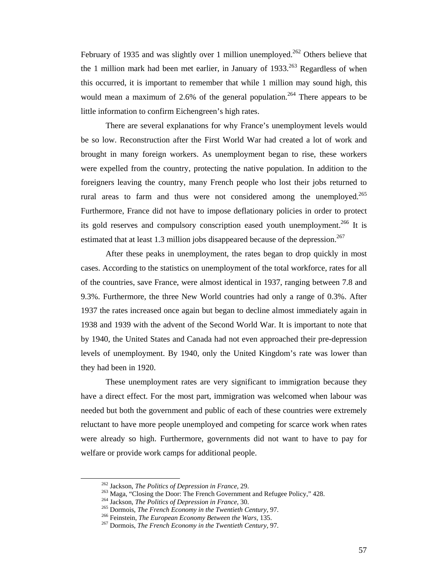February of 1935 and was slightly over 1 million unemployed.<sup>262</sup> Others believe that the 1 million mark had been met earlier, in January of  $1933$ <sup>263</sup> Regardless of when this occurred, it is important to remember that while 1 million may sound high, this would mean a maximum of 2.6% of the general population.<sup>264</sup> There appears to be little information to confirm Eichengreen's high rates.

There are several explanations for why France's unemployment levels would be so low. Reconstruction after the First World War had created a lot of work and brought in many foreign workers. As unemployment began to rise, these workers were expelled from the country, protecting the native population. In addition to the foreigners leaving the country, many French people who lost their jobs returned to rural areas to farm and thus were not considered among the unemployed.<sup>265</sup> Furthermore, France did not have to impose deflationary policies in order to protect its gold reserves and compulsory conscription eased youth unemployment.<sup>266</sup> It is estimated that at least 1.3 million jobs disappeared because of the depression.<sup>267</sup>

After these peaks in unemployment, the rates began to drop quickly in most cases. According to the statistics on unemployment of the total workforce, rates for all of the countries, save France, were almost identical in 1937, ranging between 7.8 and 9.3%. Furthermore, the three New World countries had only a range of 0.3%. After 1937 the rates increased once again but began to decline almost immediately again in 1938 and 1939 with the advent of the Second World War. It is important to note that by 1940, the United States and Canada had not even approached their pre-depression levels of unemployment. By 1940, only the United Kingdom's rate was lower than they had been in 1920.

These unemployment rates are very significant to immigration because they have a direct effect. For the most part, immigration was welcomed when labour was needed but both the government and public of each of these countries were extremely reluctant to have more people unemployed and competing for scarce work when rates were already so high. Furthermore, governments did not want to have to pay for welfare or provide work camps for additional people.

<sup>&</sup>lt;sup>262</sup> Jackson, *The Politics of Depression in France*, 29.<br><sup>263</sup> Maga, "Closing the Door: The French Government and Refugee Policy," 428.<br><sup>264</sup> Jackson, *The Politics of Depression in France*, 30.<br><sup>265</sup> Dormois, *The Fren*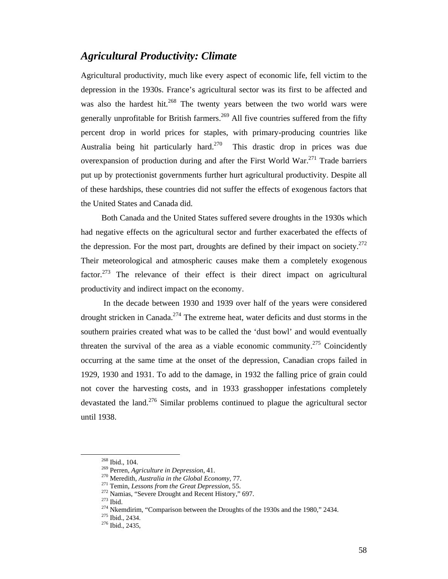### *Agricultural Productivity: Climate*

Agricultural productivity, much like every aspect of economic life, fell victim to the depression in the 1930s. France's agricultural sector was its first to be affected and was also the hardest hit.<sup>268</sup> The twenty years between the two world wars were generally unprofitable for British farmers.<sup>269</sup> All five countries suffered from the fifty percent drop in world prices for staples, with primary-producing countries like Australia being hit particularly hard.<sup>270</sup> This drastic drop in prices was due overexpansion of production during and after the First World War.<sup>271</sup> Trade barriers put up by protectionist governments further hurt agricultural productivity. Despite all of these hardships, these countries did not suffer the effects of exogenous factors that the United States and Canada did.

Both Canada and the United States suffered severe droughts in the 1930s which had negative effects on the agricultural sector and further exacerbated the effects of the depression. For the most part, droughts are defined by their impact on society. $272$ Their meteorological and atmospheric causes make them a completely exogenous factor.<sup>273</sup> The relevance of their effect is their direct impact on agricultural productivity and indirect impact on the economy.

 In the decade between 1930 and 1939 over half of the years were considered drought stricken in Canada.<sup>274</sup> The extreme heat, water deficits and dust storms in the southern prairies created what was to be called the 'dust bowl' and would eventually threaten the survival of the area as a viable economic community.<sup>275</sup> Coincidently occurring at the same time at the onset of the depression, Canadian crops failed in 1929, 1930 and 1931. To add to the damage, in 1932 the falling price of grain could not cover the harvesting costs, and in 1933 grasshopper infestations completely devastated the land.<sup>276</sup> Similar problems continued to plague the agricultural sector until 1938.

<sup>&</sup>lt;sup>268</sup> Ibid., 104.<br>
<sup>269</sup> Perren, Agriculture in Depression, 41.<br>
<sup>270</sup> Meredith, *Australia in the Global Economy*, 77.<br>
<sup>271</sup> Temin, *Lessons from the Great Depression*, 55.<br>
<sup>272</sup> Namias, "Severe Drought and Recent Hist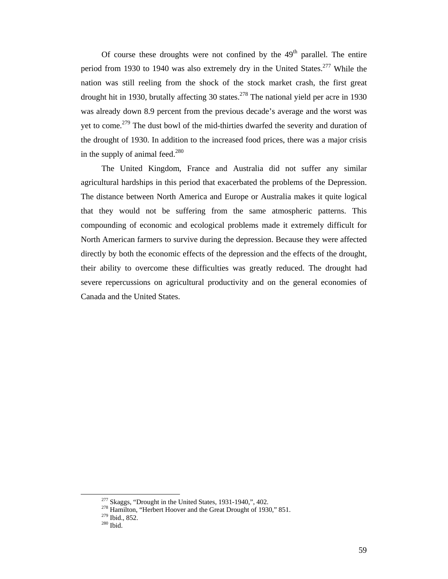Of course these droughts were not confined by the  $49<sup>th</sup>$  parallel. The entire period from 1930 to 1940 was also extremely dry in the United States.<sup>277</sup> While the nation was still reeling from the shock of the stock market crash, the first great drought hit in 1930, brutally affecting 30 states.<sup>278</sup> The national yield per acre in 1930 was already down 8.9 percent from the previous decade's average and the worst was yet to come.<sup>279</sup> The dust bowl of the mid-thirties dwarfed the severity and duration of the drought of 1930. In addition to the increased food prices, there was a major crisis in the supply of animal feed.<sup>280</sup>

The United Kingdom, France and Australia did not suffer any similar agricultural hardships in this period that exacerbated the problems of the Depression. The distance between North America and Europe or Australia makes it quite logical that they would not be suffering from the same atmospheric patterns. This compounding of economic and ecological problems made it extremely difficult for North American farmers to survive during the depression. Because they were affected directly by both the economic effects of the depression and the effects of the drought, their ability to overcome these difficulties was greatly reduced. The drought had severe repercussions on agricultural productivity and on the general economies of Canada and the United States.

<sup>&</sup>lt;sup>277</sup> Skaggs, "Drought in the United States, 1931-1940,", 402.<br><sup>278</sup> Hamilton, "Herbert Hoover and the Great Drought of 1930," 851.<br><sup>279</sup> Ibid., 852.<br><sup>280</sup> Ibid.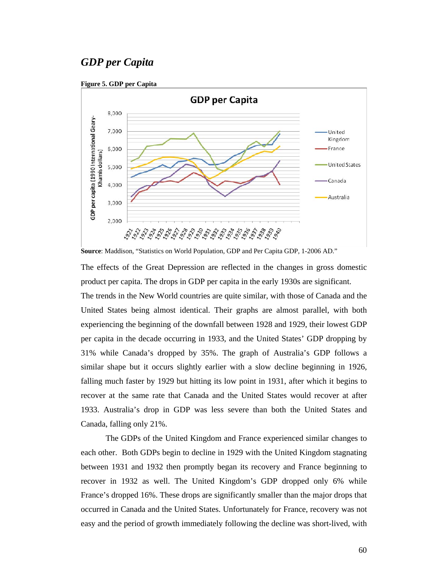# *GDP per Capita*





**Source**: Maddison, "Statistics on World Population, GDP and Per Capita GDP, 1-2006 AD."

The effects of the Great Depression are reflected in the changes in gross domestic product per capita. The drops in GDP per capita in the early 1930s are significant.

The trends in the New World countries are quite similar, with those of Canada and the United States being almost identical. Their graphs are almost parallel, with both experiencing the beginning of the downfall between 1928 and 1929, their lowest GDP per capita in the decade occurring in 1933, and the United States' GDP dropping by 31% while Canada's dropped by 35%. The graph of Australia's GDP follows a similar shape but it occurs slightly earlier with a slow decline beginning in 1926, falling much faster by 1929 but hitting its low point in 1931, after which it begins to recover at the same rate that Canada and the United States would recover at after 1933. Australia's drop in GDP was less severe than both the United States and Canada, falling only 21%.

The GDPs of the United Kingdom and France experienced similar changes to each other. Both GDPs begin to decline in 1929 with the United Kingdom stagnating between 1931 and 1932 then promptly began its recovery and France beginning to recover in 1932 as well. The United Kingdom's GDP dropped only 6% while France's dropped 16%. These drops are significantly smaller than the major drops that occurred in Canada and the United States. Unfortunately for France, recovery was not easy and the period of growth immediately following the decline was short-lived, with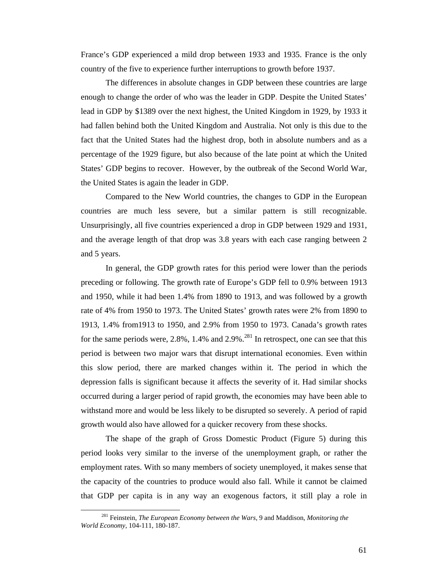France's GDP experienced a mild drop between 1933 and 1935. France is the only country of the five to experience further interruptions to growth before 1937.

The differences in absolute changes in GDP between these countries are large enough to change the order of who was the leader in GDP. Despite the United States' lead in GDP by \$1389 over the next highest, the United Kingdom in 1929, by 1933 it had fallen behind both the United Kingdom and Australia. Not only is this due to the fact that the United States had the highest drop, both in absolute numbers and as a percentage of the 1929 figure, but also because of the late point at which the United States' GDP begins to recover. However, by the outbreak of the Second World War, the United States is again the leader in GDP.

Compared to the New World countries, the changes to GDP in the European countries are much less severe, but a similar pattern is still recognizable. Unsurprisingly, all five countries experienced a drop in GDP between 1929 and 1931, and the average length of that drop was 3.8 years with each case ranging between 2 and 5 years.

In general, the GDP growth rates for this period were lower than the periods preceding or following. The growth rate of Europe's GDP fell to 0.9% between 1913 and 1950, while it had been 1.4% from 1890 to 1913, and was followed by a growth rate of 4% from 1950 to 1973. The United States' growth rates were 2% from 1890 to 1913, 1.4% from1913 to 1950, and 2.9% from 1950 to 1973. Canada's growth rates for the same periods were,  $2.8\%$ ,  $1.4\%$  and  $2.9\%$ .<sup>281</sup> In retrospect, one can see that this period is between two major wars that disrupt international economies. Even within this slow period, there are marked changes within it. The period in which the depression falls is significant because it affects the severity of it. Had similar shocks occurred during a larger period of rapid growth, the economies may have been able to withstand more and would be less likely to be disrupted so severely. A period of rapid growth would also have allowed for a quicker recovery from these shocks.

The shape of the graph of Gross Domestic Product (Figure 5) during this period looks very similar to the inverse of the unemployment graph, or rather the employment rates. With so many members of society unemployed, it makes sense that the capacity of the countries to produce would also fall. While it cannot be claimed that GDP per capita is in any way an exogenous factors, it still play a role in

 <sup>281</sup> Feinstein, *The European Economy between the Wars*, 9 and Maddison, *Monitoring the World Economy*, 104-111, 180-187.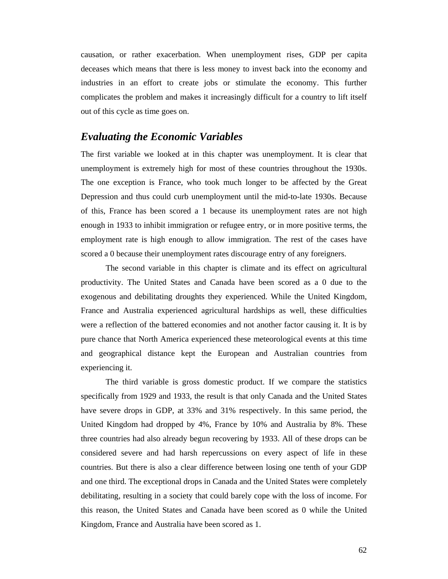causation, or rather exacerbation. When unemployment rises, GDP per capita deceases which means that there is less money to invest back into the economy and industries in an effort to create jobs or stimulate the economy. This further complicates the problem and makes it increasingly difficult for a country to lift itself out of this cycle as time goes on.

### *Evaluating the Economic Variables*

The first variable we looked at in this chapter was unemployment. It is clear that unemployment is extremely high for most of these countries throughout the 1930s. The one exception is France, who took much longer to be affected by the Great Depression and thus could curb unemployment until the mid-to-late 1930s. Because of this, France has been scored a 1 because its unemployment rates are not high enough in 1933 to inhibit immigration or refugee entry, or in more positive terms, the employment rate is high enough to allow immigration. The rest of the cases have scored a 0 because their unemployment rates discourage entry of any foreigners.

The second variable in this chapter is climate and its effect on agricultural productivity. The United States and Canada have been scored as a 0 due to the exogenous and debilitating droughts they experienced. While the United Kingdom, France and Australia experienced agricultural hardships as well, these difficulties were a reflection of the battered economies and not another factor causing it. It is by pure chance that North America experienced these meteorological events at this time and geographical distance kept the European and Australian countries from experiencing it.

The third variable is gross domestic product. If we compare the statistics specifically from 1929 and 1933, the result is that only Canada and the United States have severe drops in GDP, at 33% and 31% respectively. In this same period, the United Kingdom had dropped by 4%, France by 10% and Australia by 8%. These three countries had also already begun recovering by 1933. All of these drops can be considered severe and had harsh repercussions on every aspect of life in these countries. But there is also a clear difference between losing one tenth of your GDP and one third. The exceptional drops in Canada and the United States were completely debilitating, resulting in a society that could barely cope with the loss of income. For this reason, the United States and Canada have been scored as 0 while the United Kingdom, France and Australia have been scored as 1.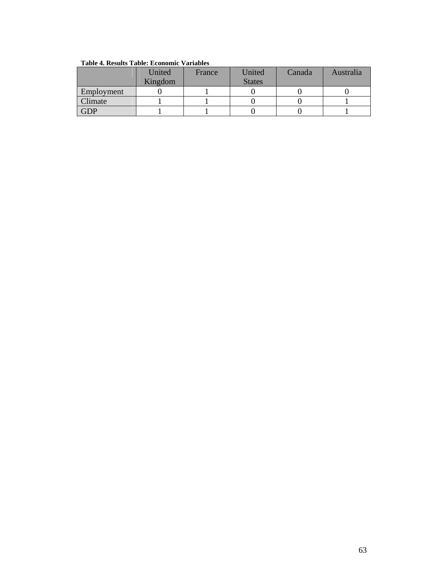|                | United  | France | United        | Canada | Australia |  |
|----------------|---------|--------|---------------|--------|-----------|--|
|                | Kingdom |        | <b>States</b> |        |           |  |
| Employment     |         |        |               |        |           |  |
| <b>Climate</b> |         |        |               |        |           |  |
| <b>GDP</b>     |         |        |               |        |           |  |

**Table 4. Results Table: Economic Variables**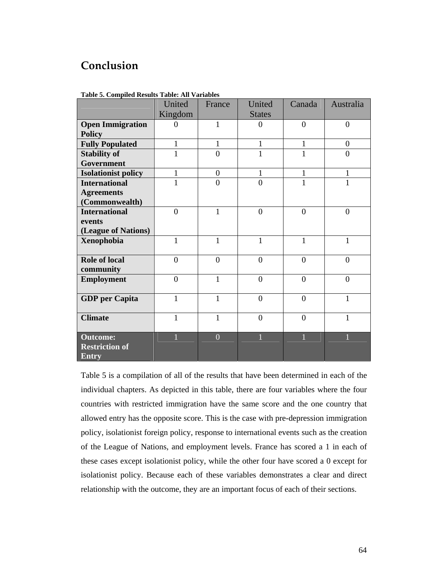# **Conclusion**

|                                                          | United         | France         | United         | Canada         | Australia      |
|----------------------------------------------------------|----------------|----------------|----------------|----------------|----------------|
|                                                          | Kingdom        |                | <b>States</b>  |                |                |
| <b>Open Immigration</b>                                  | 0              | 1              | $\Omega$       | $\overline{0}$ | $\overline{0}$ |
| <b>Policy</b>                                            |                |                |                |                |                |
| <b>Fully Populated</b>                                   | 1              | 1              | $\mathbf{1}$   | $\mathbf{1}$   | $\overline{0}$ |
| <b>Stability of</b>                                      | 1              | $\theta$       | 1              | 1              | $\overline{0}$ |
| Government                                               |                |                |                |                |                |
| <b>Isolationist policy</b>                               | 1              | $\theta$       | $\mathbf{1}$   | $\mathbf{1}$   | 1              |
| <b>International</b>                                     |                | $\theta$       | $\overline{0}$ | 1              | 1              |
| <b>Agreements</b>                                        |                |                |                |                |                |
| (Commonwealth)                                           |                |                |                |                |                |
| <b>International</b>                                     | $\theta$       | $\mathbf{1}$   | $\overline{0}$ | $\overline{0}$ | $\overline{0}$ |
| events                                                   |                |                |                |                |                |
| (League of Nations)                                      |                |                |                |                |                |
| <b>Xenophobia</b>                                        | 1              | $\mathbf{1}$   | 1              | 1              | 1              |
| <b>Role of local</b>                                     | $\overline{0}$ | $\overline{0}$ | $\overline{0}$ | $\overline{0}$ | $\overline{0}$ |
| community                                                |                |                |                |                |                |
| <b>Employment</b>                                        | $\theta$       | 1              | $\overline{0}$ | $\theta$       | $\theta$       |
| <b>GDP</b> per Capita                                    | 1              | $\mathbf{1}$   | $\overline{0}$ | $\theta$       | 1              |
| <b>Climate</b>                                           | 1              | 1              | $\theta$       | $\theta$       | 1              |
| <b>Outcome:</b><br><b>Restriction of</b><br><b>Entry</b> |                | $\overline{0}$ |                |                |                |

**Table 5. Compiled Results Table: All Variables** 

Table 5 is a compilation of all of the results that have been determined in each of the individual chapters. As depicted in this table, there are four variables where the four countries with restricted immigration have the same score and the one country that allowed entry has the opposite score. This is the case with pre-depression immigration policy, isolationist foreign policy, response to international events such as the creation of the League of Nations, and employment levels. France has scored a 1 in each of these cases except isolationist policy, while the other four have scored a 0 except for isolationist policy. Because each of these variables demonstrates a clear and direct relationship with the outcome, they are an important focus of each of their sections.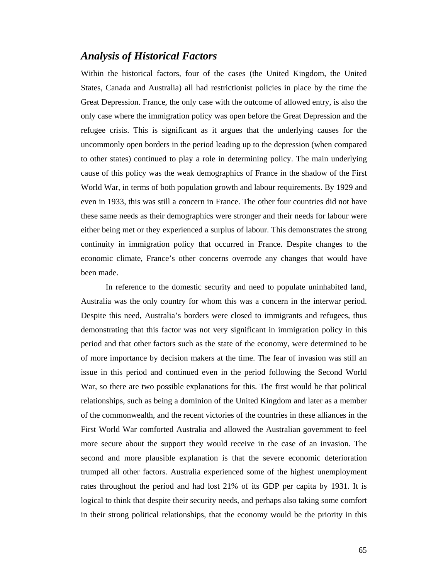### *Analysis of Historical Factors*

Within the historical factors, four of the cases (the United Kingdom, the United States, Canada and Australia) all had restrictionist policies in place by the time the Great Depression. France, the only case with the outcome of allowed entry, is also the only case where the immigration policy was open before the Great Depression and the refugee crisis. This is significant as it argues that the underlying causes for the uncommonly open borders in the period leading up to the depression (when compared to other states) continued to play a role in determining policy. The main underlying cause of this policy was the weak demographics of France in the shadow of the First World War, in terms of both population growth and labour requirements. By 1929 and even in 1933, this was still a concern in France. The other four countries did not have these same needs as their demographics were stronger and their needs for labour were either being met or they experienced a surplus of labour. This demonstrates the strong continuity in immigration policy that occurred in France. Despite changes to the economic climate, France's other concerns overrode any changes that would have been made.

In reference to the domestic security and need to populate uninhabited land, Australia was the only country for whom this was a concern in the interwar period. Despite this need, Australia's borders were closed to immigrants and refugees, thus demonstrating that this factor was not very significant in immigration policy in this period and that other factors such as the state of the economy, were determined to be of more importance by decision makers at the time. The fear of invasion was still an issue in this period and continued even in the period following the Second World War, so there are two possible explanations for this. The first would be that political relationships, such as being a dominion of the United Kingdom and later as a member of the commonwealth, and the recent victories of the countries in these alliances in the First World War comforted Australia and allowed the Australian government to feel more secure about the support they would receive in the case of an invasion. The second and more plausible explanation is that the severe economic deterioration trumped all other factors. Australia experienced some of the highest unemployment rates throughout the period and had lost 21% of its GDP per capita by 1931. It is logical to think that despite their security needs, and perhaps also taking some comfort in their strong political relationships, that the economy would be the priority in this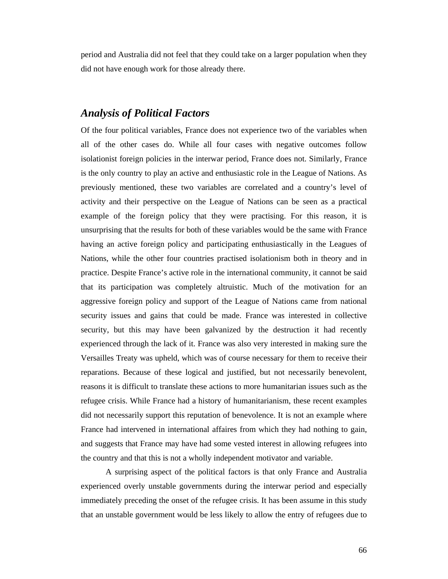period and Australia did not feel that they could take on a larger population when they did not have enough work for those already there.

### *Analysis of Political Factors*

Of the four political variables, France does not experience two of the variables when all of the other cases do. While all four cases with negative outcomes follow isolationist foreign policies in the interwar period, France does not. Similarly, France is the only country to play an active and enthusiastic role in the League of Nations. As previously mentioned, these two variables are correlated and a country's level of activity and their perspective on the League of Nations can be seen as a practical example of the foreign policy that they were practising. For this reason, it is unsurprising that the results for both of these variables would be the same with France having an active foreign policy and participating enthusiastically in the Leagues of Nations, while the other four countries practised isolationism both in theory and in practice. Despite France's active role in the international community, it cannot be said that its participation was completely altruistic. Much of the motivation for an aggressive foreign policy and support of the League of Nations came from national security issues and gains that could be made. France was interested in collective security, but this may have been galvanized by the destruction it had recently experienced through the lack of it. France was also very interested in making sure the Versailles Treaty was upheld, which was of course necessary for them to receive their reparations. Because of these logical and justified, but not necessarily benevolent, reasons it is difficult to translate these actions to more humanitarian issues such as the refugee crisis. While France had a history of humanitarianism, these recent examples did not necessarily support this reputation of benevolence. It is not an example where France had intervened in international affaires from which they had nothing to gain, and suggests that France may have had some vested interest in allowing refugees into the country and that this is not a wholly independent motivator and variable.

A surprising aspect of the political factors is that only France and Australia experienced overly unstable governments during the interwar period and especially immediately preceding the onset of the refugee crisis. It has been assume in this study that an unstable government would be less likely to allow the entry of refugees due to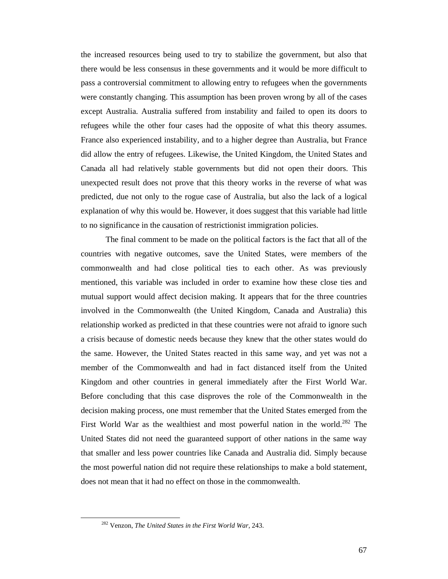the increased resources being used to try to stabilize the government, but also that there would be less consensus in these governments and it would be more difficult to pass a controversial commitment to allowing entry to refugees when the governments were constantly changing. This assumption has been proven wrong by all of the cases except Australia. Australia suffered from instability and failed to open its doors to refugees while the other four cases had the opposite of what this theory assumes. France also experienced instability, and to a higher degree than Australia, but France did allow the entry of refugees. Likewise, the United Kingdom, the United States and Canada all had relatively stable governments but did not open their doors. This unexpected result does not prove that this theory works in the reverse of what was predicted, due not only to the rogue case of Australia, but also the lack of a logical explanation of why this would be. However, it does suggest that this variable had little to no significance in the causation of restrictionist immigration policies.

The final comment to be made on the political factors is the fact that all of the countries with negative outcomes, save the United States, were members of the commonwealth and had close political ties to each other. As was previously mentioned, this variable was included in order to examine how these close ties and mutual support would affect decision making. It appears that for the three countries involved in the Commonwealth (the United Kingdom, Canada and Australia) this relationship worked as predicted in that these countries were not afraid to ignore such a crisis because of domestic needs because they knew that the other states would do the same. However, the United States reacted in this same way, and yet was not a member of the Commonwealth and had in fact distanced itself from the United Kingdom and other countries in general immediately after the First World War. Before concluding that this case disproves the role of the Commonwealth in the decision making process, one must remember that the United States emerged from the First World War as the wealthiest and most powerful nation in the world.<sup>282</sup> The United States did not need the guaranteed support of other nations in the same way that smaller and less power countries like Canada and Australia did. Simply because the most powerful nation did not require these relationships to make a bold statement, does not mean that it had no effect on those in the commonwealth.

 <sup>282</sup> Venzon, *The United States in the First World War,* 243.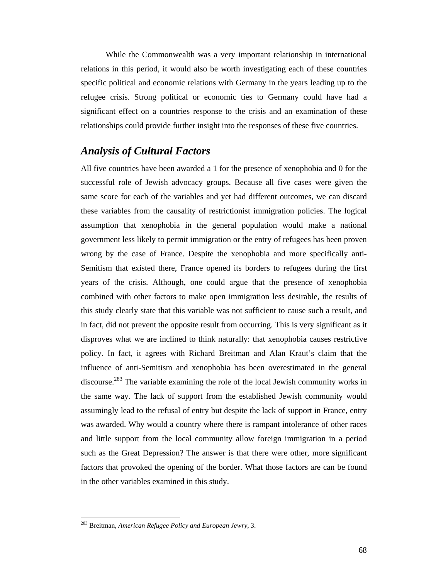While the Commonwealth was a very important relationship in international relations in this period, it would also be worth investigating each of these countries specific political and economic relations with Germany in the years leading up to the refugee crisis. Strong political or economic ties to Germany could have had a significant effect on a countries response to the crisis and an examination of these relationships could provide further insight into the responses of these five countries.

# *Analysis of Cultural Factors*

All five countries have been awarded a 1 for the presence of xenophobia and 0 for the successful role of Jewish advocacy groups. Because all five cases were given the same score for each of the variables and yet had different outcomes, we can discard these variables from the causality of restrictionist immigration policies. The logical assumption that xenophobia in the general population would make a national government less likely to permit immigration or the entry of refugees has been proven wrong by the case of France. Despite the xenophobia and more specifically anti-Semitism that existed there, France opened its borders to refugees during the first years of the crisis. Although, one could argue that the presence of xenophobia combined with other factors to make open immigration less desirable, the results of this study clearly state that this variable was not sufficient to cause such a result, and in fact, did not prevent the opposite result from occurring. This is very significant as it disproves what we are inclined to think naturally: that xenophobia causes restrictive policy. In fact, it agrees with Richard Breitman and Alan Kraut's claim that the influence of anti-Semitism and xenophobia has been overestimated in the general discourse.<sup>283</sup> The variable examining the role of the local Jewish community works in the same way. The lack of support from the established Jewish community would assumingly lead to the refusal of entry but despite the lack of support in France, entry was awarded. Why would a country where there is rampant intolerance of other races and little support from the local community allow foreign immigration in a period such as the Great Depression? The answer is that there were other, more significant factors that provoked the opening of the border. What those factors are can be found in the other variables examined in this study.

 $\overline{a}$ 

<sup>283</sup> Breitman, *American Refugee Policy and European Jewry,* 3.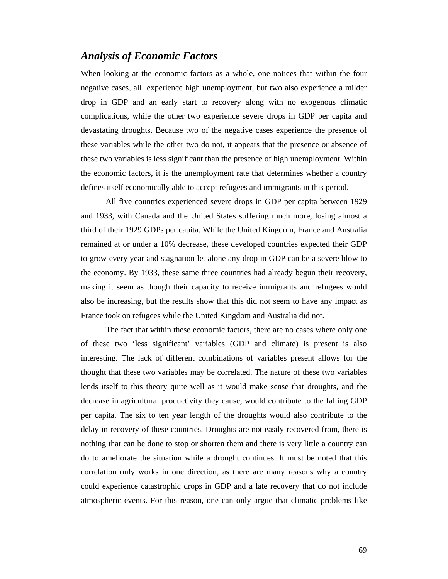### *Analysis of Economic Factors*

When looking at the economic factors as a whole, one notices that within the four negative cases, all experience high unemployment, but two also experience a milder drop in GDP and an early start to recovery along with no exogenous climatic complications, while the other two experience severe drops in GDP per capita and devastating droughts. Because two of the negative cases experience the presence of these variables while the other two do not, it appears that the presence or absence of these two variables is less significant than the presence of high unemployment. Within the economic factors, it is the unemployment rate that determines whether a country defines itself economically able to accept refugees and immigrants in this period.

All five countries experienced severe drops in GDP per capita between 1929 and 1933, with Canada and the United States suffering much more, losing almost a third of their 1929 GDPs per capita. While the United Kingdom, France and Australia remained at or under a 10% decrease, these developed countries expected their GDP to grow every year and stagnation let alone any drop in GDP can be a severe blow to the economy. By 1933, these same three countries had already begun their recovery, making it seem as though their capacity to receive immigrants and refugees would also be increasing, but the results show that this did not seem to have any impact as France took on refugees while the United Kingdom and Australia did not.

The fact that within these economic factors, there are no cases where only one of these two 'less significant' variables (GDP and climate) is present is also interesting. The lack of different combinations of variables present allows for the thought that these two variables may be correlated. The nature of these two variables lends itself to this theory quite well as it would make sense that droughts, and the decrease in agricultural productivity they cause, would contribute to the falling GDP per capita. The six to ten year length of the droughts would also contribute to the delay in recovery of these countries. Droughts are not easily recovered from, there is nothing that can be done to stop or shorten them and there is very little a country can do to ameliorate the situation while a drought continues. It must be noted that this correlation only works in one direction, as there are many reasons why a country could experience catastrophic drops in GDP and a late recovery that do not include atmospheric events. For this reason, one can only argue that climatic problems like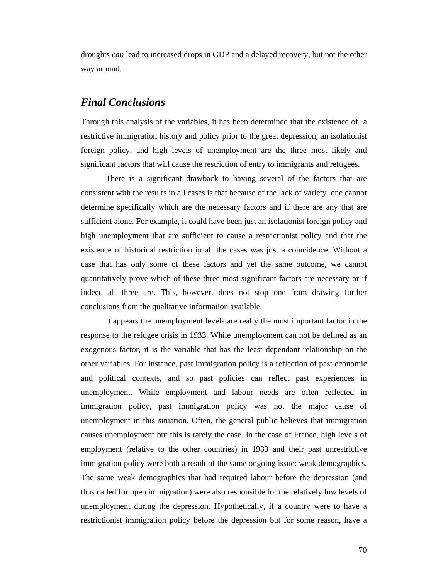droughts *can* lead to increased drops in GDP and a delayed recovery, but not the other way around.

### *Final Conclusions*

Through this analysis of the variables, it has been determined that the existence of a restrictive immigration history and policy prior to the great depression, an isolationist foreign policy, and high levels of unemployment are the three most likely and significant factors that will cause the restriction of entry to immigrants and refugees.

 There is a significant drawback to having several of the factors that are consistent with the results in all cases is that because of the lack of variety, one cannot determine specifically which are the necessary factors and if there are any that are sufficient alone. For example, it could have been just an isolationist foreign policy and high unemployment that are sufficient to cause a restrictionist policy and that the existence of historical restriction in all the cases was just a coincidence. Without a case that has only some of these factors and yet the same outcome, we cannot quantitatively prove which of these three most significant factors are necessary or if indeed all three are. This, however, does not stop one from drawing further conclusions from the qualitative information available.

It appears the unemployment levels are really the most important factor in the response to the refugee crisis in 1933. While unemployment can not be defined as an exogenous factor, it is the variable that has the least dependant relationship on the other variables. For instance, past immigration policy is a reflection of past economic and political contexts, and so past policies can reflect past experiences in unemployment. While employment and labour needs are often reflected in immigration policy, past immigration policy was not the major cause of unemployment in this situation. Often, the general public believes that immigration causes unemployment but this is rarely the case. In the case of France, high levels of employment (relative to the other countries) in 1933 and their past unrestrictive immigration policy were both a result of the same ongoing issue: weak demographics. The same weak demographics that had required labour before the depression (and thus called for open immigration) were also responsible for the relatively low levels of unemployment during the depression. Hypothetically, if a country were to have a restrictionist immigration policy before the depression but for some reason, have a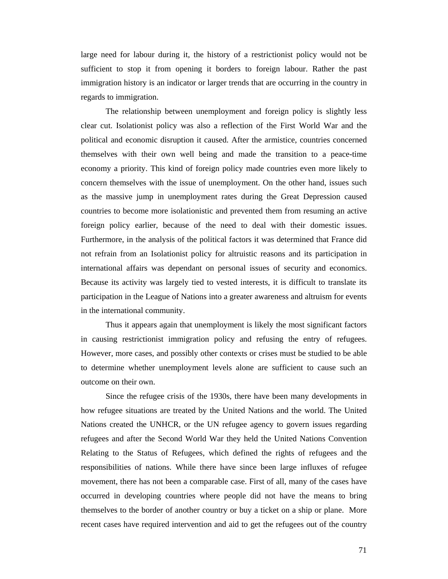large need for labour during it, the history of a restrictionist policy would not be sufficient to stop it from opening it borders to foreign labour. Rather the past immigration history is an indicator or larger trends that are occurring in the country in regards to immigration.

The relationship between unemployment and foreign policy is slightly less clear cut. Isolationist policy was also a reflection of the First World War and the political and economic disruption it caused. After the armistice, countries concerned themselves with their own well being and made the transition to a peace-time economy a priority. This kind of foreign policy made countries even more likely to concern themselves with the issue of unemployment. On the other hand, issues such as the massive jump in unemployment rates during the Great Depression caused countries to become more isolationistic and prevented them from resuming an active foreign policy earlier, because of the need to deal with their domestic issues. Furthermore, in the analysis of the political factors it was determined that France did not refrain from an Isolationist policy for altruistic reasons and its participation in international affairs was dependant on personal issues of security and economics. Because its activity was largely tied to vested interests, it is difficult to translate its participation in the League of Nations into a greater awareness and altruism for events in the international community.

 Thus it appears again that unemployment is likely the most significant factors in causing restrictionist immigration policy and refusing the entry of refugees. However, more cases, and possibly other contexts or crises must be studied to be able to determine whether unemployment levels alone are sufficient to cause such an outcome on their own.

Since the refugee crisis of the 1930s, there have been many developments in how refugee situations are treated by the United Nations and the world. The United Nations created the UNHCR, or the UN refugee agency to govern issues regarding refugees and after the Second World War they held the United Nations Convention Relating to the Status of Refugees, which defined the rights of refugees and the responsibilities of nations. While there have since been large influxes of refugee movement, there has not been a comparable case. First of all, many of the cases have occurred in developing countries where people did not have the means to bring themselves to the border of another country or buy a ticket on a ship or plane. More recent cases have required intervention and aid to get the refugees out of the country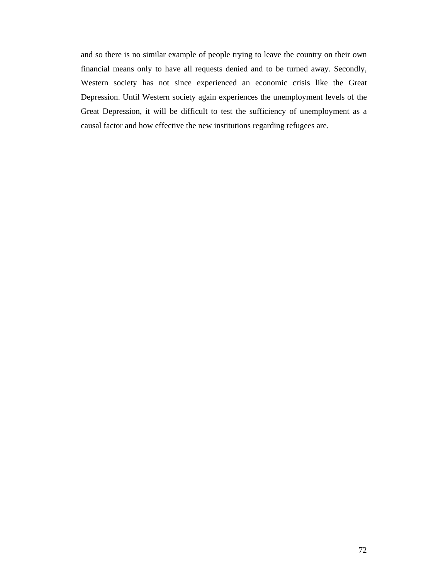and so there is no similar example of people trying to leave the country on their own financial means only to have all requests denied and to be turned away. Secondly, Western society has not since experienced an economic crisis like the Great Depression. Until Western society again experiences the unemployment levels of the Great Depression, it will be difficult to test the sufficiency of unemployment as a causal factor and how effective the new institutions regarding refugees are.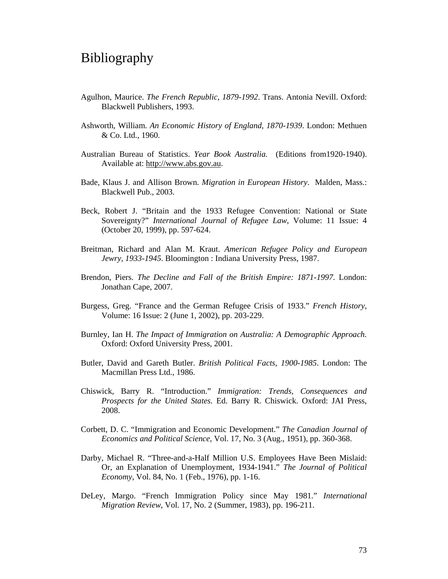## Bibliography

- Agulhon, Maurice. *The French Republic, 1879-1992*. Trans. Antonia Nevill. Oxford: Blackwell Publishers, 1993.
- Ashworth, William. *An Economic History of England, 1870-1939*. London: Methuen & Co. Ltd., 1960.
- Australian Bureau of Statistics. *Year Book Australia.* (Editions from1920-1940). Available at: http://www.abs.gov.au.
- Bade, Klaus J. and Allison Brown. *Migration in European History*. Malden, Mass.: Blackwell Pub., 2003.
- Beck, Robert J. "Britain and the 1933 Refugee Convention: National or State Sovereignty?" *International Journal of Refugee Law*, Volume: 11 Issue: 4 (October 20, 1999), pp. 597-624.
- Breitman, Richard and Alan M. Kraut. *American Refugee Policy and European Jewry, 1933-1945*. Bloomington : Indiana University Press, 1987.
- Brendon, Piers. *The Decline and Fall of the British Empire: 1871-1997*. London: Jonathan Cape, 2007.
- Burgess, Greg. "France and the German Refugee Crisis of 1933." *French History*, Volume: 16 Issue: 2 (June 1, 2002), pp. 203-229.
- Burnley, Ian H. *The Impact of Immigration on Australia: A Demographic Approach.* Oxford: Oxford University Press, 2001.
- Butler, David and Gareth Butler. *British Political Facts, 1900-1985*. London: The Macmillan Press Ltd., 1986.
- Chiswick, Barry R. "Introduction." *Immigration: Trends, Consequences and Prospects for the United States.* Ed. Barry R. Chiswick. Oxford: JAI Press, 2008.
- Corbett, D. C. "Immigration and Economic Development." *The Canadian Journal of Economics and Political Science*, Vol. 17, No. 3 (Aug., 1951), pp. 360-368.
- Darby, Michael R. "Three-and-a-Half Million U.S. Employees Have Been Mislaid: Or, an Explanation of Unemployment, 1934-1941." *The Journal of Political Economy*, Vol. 84, No. 1 (Feb., 1976), pp. 1-16.
- DeLey, Margo. "French Immigration Policy since May 1981." *International Migration Review*, Vol. 17, No. 2 (Summer, 1983), pp. 196-211.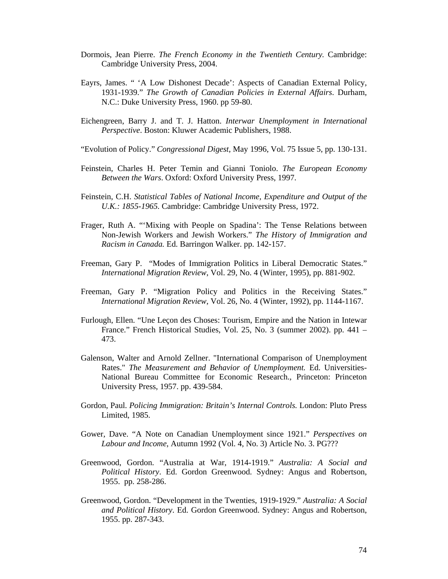- Dormois, Jean Pierre. *The French Economy in the Twentieth Century.* Cambridge: Cambridge University Press, 2004.
- Eayrs, James. " 'A Low Dishonest Decade': Aspects of Canadian External Policy, 1931-1939." *The Growth of Canadian Policies in External Affairs*. Durham, N.C.: Duke University Press, 1960. pp 59-80.
- Eichengreen, Barry J. and T. J. Hatton. *Interwar Unemployment in International Perspective*. Boston: Kluwer Academic Publishers, 1988.
- "Evolution of Policy." *Congressional Digest*, May 1996, Vol. 75 Issue 5, pp. 130-131.
- Feinstein, Charles H. Peter Temin and Gianni Toniolo. *The European Economy Between the Wars*. Oxford: Oxford University Press, 1997.
- Feinstein, C.H. *Statistical Tables of National Income, Expenditure and Output of the U.K.: 1855-1965.* Cambridge: Cambridge University Press, 1972.
- Frager, Ruth A. "'Mixing with People on Spadina': The Tense Relations between Non-Jewish Workers and Jewish Workers." *The History of Immigration and Racism in Canada.* Ed. Barringon Walker. pp. 142-157.
- Freeman, Gary P. "Modes of Immigration Politics in Liberal Democratic States." *International Migration Review*, Vol. 29, No. 4 (Winter, 1995), pp. 881-902.
- Freeman, Gary P. "Migration Policy and Politics in the Receiving States." *International Migration Review*, Vol. 26, No. 4 (Winter, 1992), pp. 1144-1167.
- Furlough, Ellen. "Une Leçon des Choses: Tourism, Empire and the Nation in Intewar France." French Historical Studies, Vol. 25, No. 3 (summer 2002). pp. 441 – 473.
- Galenson, Walter and Arnold Zellner. "International Comparison of Unemployment Rates." *The Measurement and Behavior of Unemployment.* Ed. Universities-National Bureau Committee for Economic Research.*,* Princeton: Princeton University Press, 1957. pp. 439-584.
- Gordon, Paul. *Policing Immigration: Britain's Internal Controls.* London: Pluto Press Limited, 1985.
- Gower, Dave. "A Note on Canadian Unemployment since 1921." *Perspectives on Labour and Income*, Autumn 1992 (Vol. 4, No. 3) Article No. 3. PG???
- Greenwood, Gordon. "Australia at War, 1914-1919." *Australia: A Social and Political History*. Ed. Gordon Greenwood. Sydney: Angus and Robertson, 1955. pp. 258-286.
- Greenwood, Gordon. "Development in the Twenties, 1919-1929." *Australia: A Social and Political History*. Ed. Gordon Greenwood. Sydney: Angus and Robertson, 1955. pp. 287-343.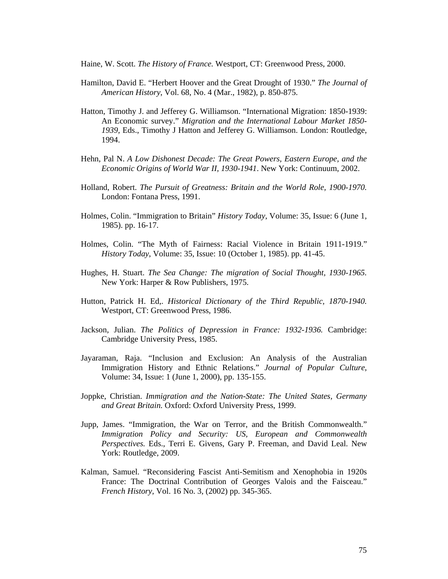Haine, W. Scott. *The History of France.* Westport, CT: Greenwood Press, 2000.

- Hamilton, David E. "Herbert Hoover and the Great Drought of 1930." *The Journal of American History*, Vol. 68, No. 4 (Mar., 1982), p. 850-875.
- Hatton, Timothy J. and Jefferey G. Williamson. "International Migration: 1850-1939: An Economic survey." *Migration and the International Labour Market 1850- 1939,* Eds., Timothy J Hatton and Jefferey G. Williamson. London: Routledge, 1994.
- Hehn, Pal N. *A Low Dishonest Decade: The Great Powers, Eastern Europe, and the Economic Origins of World War II, 1930-1941*. New York: Continuum, 2002.
- Holland, Robert. *The Pursuit of Greatness: Britain and the World Role, 1900-1970.* London: Fontana Press, 1991.
- Holmes, Colin. "Immigration to Britain" *History Today*, Volume: 35, Issue: 6 (June 1, 1985). pp. 16-17.
- Holmes, Colin. "The Myth of Fairness: Racial Violence in Britain 1911-1919." *History Today*, Volume: 35, Issue: 10 (October 1, 1985). pp. 41-45.
- Hughes, H. Stuart. *The Sea Change: The migration of Social Thought, 1930-1965.* New York: Harper & Row Publishers, 1975.
- Hutton, Patrick H. Ed,. *Historical Dictionary of the Third Republic, 1870-1940.* Westport, CT: Greenwood Press, 1986.
- Jackson, Julian. *The Politics of Depression in France: 1932-1936.* Cambridge: Cambridge University Press, 1985.
- Jayaraman, Raja. "Inclusion and Exclusion: An Analysis of the Australian Immigration History and Ethnic Relations." *Journal of Popular Culture*, Volume: 34, Issue: 1 (June 1, 2000), pp. 135-155.
- Joppke, Christian. *Immigration and the Nation-State: The United States, Germany and Great Britain.* Oxford: Oxford University Press, 1999.
- Jupp, James. "Immigration, the War on Terror, and the British Commonwealth." *Immigration Policy and Security: US, European and Commonwealth Perspectives.* Eds., Terri E. Givens, Gary P. Freeman, and David Leal. New York: Routledge, 2009.
- Kalman, Samuel. "Reconsidering Fascist Anti-Semitism and Xenophobia in 1920s France: The Doctrinal Contribution of Georges Valois and the Faisceau." *French History,* Vol. 16 No. 3, (2002) pp. 345-365.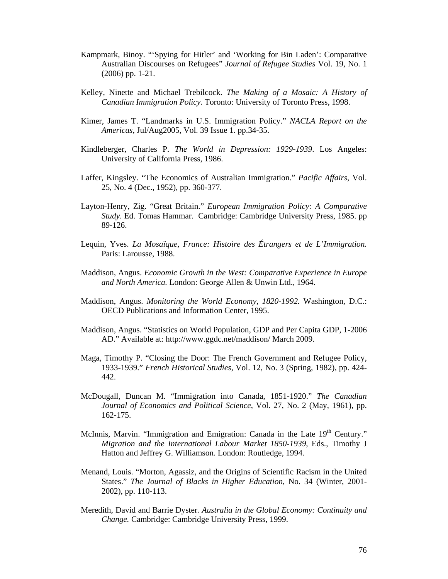- Kampmark, Binoy. "'Spying for Hitler' and 'Working for Bin Laden': Comparative Australian Discourses on Refugees" *Journal of Refugee Studies* Vol. 19, No. 1 (2006) pp. 1-21.
- Kelley, Ninette and Michael Trebilcock. *The Making of a Mosaic: A History of Canadian Immigration Policy.* Toronto: University of Toronto Press, 1998.
- Kimer, James T. "Landmarks in U.S. Immigration Policy." *NACLA Report on the Americas*, Jul/Aug2005, Vol. 39 Issue 1. pp.34-35.
- Kindleberger, Charles P. *The World in Depression: 1929-1939*. Los Angeles: University of California Press, 1986.
- Laffer, Kingsley. "The Economics of Australian Immigration." *Pacific Affairs*, Vol. 25, No. 4 (Dec., 1952), pp. 360-377.
- Layton-Henry, Zig. "Great Britain." *European Immigration Policy: A Comparative Study*. Ed. Tomas Hammar. Cambridge: Cambridge University Press, 1985. pp 89-126.
- Lequin, Yves. *La Mosaïque, France: Histoire des Étrangers et de L'Immigration.* Paris: Larousse, 1988.
- Maddison, Angus. *Economic Growth in the West: Comparative Experience in Europe and North America.* London: George Allen & Unwin Ltd., 1964.
- Maddison, Angus. *Monitoring the World Economy, 1820-1992.* Washington, D.C.: OECD Publications and Information Center, 1995.
- Maddison, Angus. "Statistics on World Population, GDP and Per Capita GDP, 1-2006 AD." Available at: http://www.ggdc.net/maddison/ March 2009.
- Maga, Timothy P. "Closing the Door: The French Government and Refugee Policy, 1933-1939." *French Historical Studies*, Vol. 12, No. 3 (Spring, 1982), pp. 424- 442.
- McDougall, Duncan M. "Immigration into Canada, 1851-1920." *The Canadian Journal of Economics and Political Science*, Vol. 27, No. 2 (May, 1961), pp. 162-175.
- McInnis, Marvin. "Immigration and Emigration: Canada in the Late 19<sup>th</sup> Century." *Migration and the International Labour Market 1850-1939*, Eds., Timothy J Hatton and Jeffrey G. Williamson. London: Routledge, 1994.
- Menand, Louis. "Morton, Agassiz, and the Origins of Scientific Racism in the United States." *The Journal of Blacks in Higher Education*, No. 34 (Winter, 2001- 2002), pp. 110-113.
- Meredith, David and Barrie Dyster*. Australia in the Global Economy: Continuity and Change.* Cambridge: Cambridge University Press, 1999.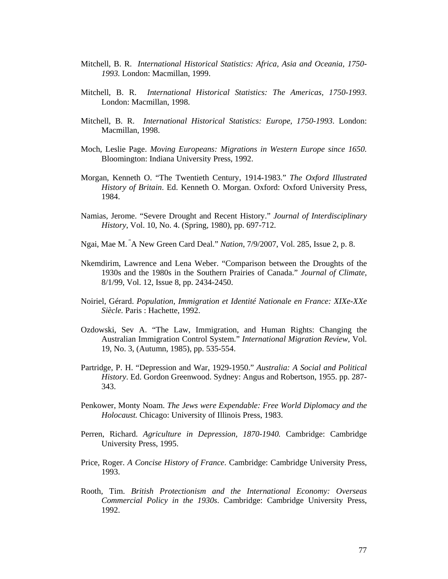- Mitchell, B. R.*International Historical Statistics: Africa, Asia and Oceania, 1750- 1993.* London: Macmillan, 1999.
- Mitchell, B. R.*International Historical Statistics: The Americas, 1750-1993*. London: Macmillan, 1998.
- Mitchell, B. R.*International Historical Statistics: Europe, 1750-1993*. London: Macmillan, 1998.
- Moch, Leslie Page. *Moving Europeans: Migrations in Western Europe since 1650.* Bloomington: Indiana University Press, 1992.
- Morgan, Kenneth O. "The Twentieth Century, 1914-1983." *The Oxford Illustrated History of Britain*. Ed. Kenneth O. Morgan. Oxford: Oxford University Press, 1984.
- Namias, Jerome. "Severe Drought and Recent History." *Journal of Interdisciplinary History*, Vol. 10, No. 4. (Spring, 1980), pp. 697-712.
- Ngai, Mae M. "A New Green Card Deal." *Nation*, 7/9/2007, Vol. 285, Issue 2, p. 8.
- Nkemdirim, Lawrence and Lena Weber. "Comparison between the Droughts of the 1930s and the 1980s in the Southern Prairies of Canada." *Journal of Climate*, 8/1/99, Vol. 12, Issue 8, pp. 2434-2450.
- Noiriel, Gérard. *Population, Immigration et Identité Nationale en France: XIXe-XXe Siècle.* Paris : Hachette, 1992.
- Ozdowski, Sev A. "The Law, Immigration, and Human Rights: Changing the Australian Immigration Control System." *International Migration Review,* Vol. 19, No. 3, (Autumn, 1985), pp. 535-554.
- Partridge, P. H. "Depression and War, 1929-1950." *Australia: A Social and Political History*. Ed. Gordon Greenwood. Sydney: Angus and Robertson, 1955. pp. 287- 343.
- Penkower, Monty Noam. *The Jews were Expendable: Free World Diplomacy and the Holocaust.* Chicago: University of Illinois Press, 1983.
- Perren, Richard. *Agriculture in Depression, 1870-1940.* Cambridge: Cambridge University Press, 1995.
- Price, Roger. *A Concise History of France*. Cambridge: Cambridge University Press, 1993.
- Rooth, Tim. *British Protectionism and the International Economy: Overseas Commercial Policy in the 1930s*. Cambridge: Cambridge University Press, 1992.